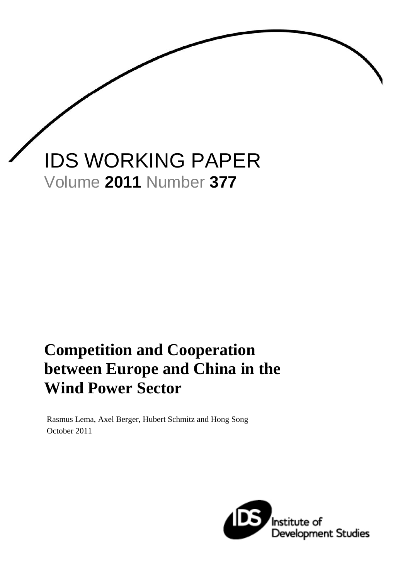# IDS WORKING PAPER Volume **2011** Number **377**

## **Competition and Cooperation between Europe and China in the Wind Power Sector**

Rasmus Lema, Axel Berger, Hubert Schmitz and Hong Song October 2011

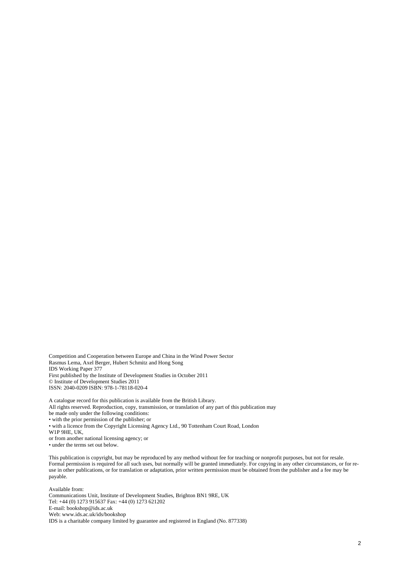Competition and Cooperation between Europe and China in the Wind Power Sector Rasmus Lema, Axel Berger, Hubert Schmitz and Hong Song IDS Working Paper 377 First published by the Institute of Development Studies in October 2011 © Institute of Development Studies 2011

ISSN: 2040-0209 ISBN: 978-1-78118-020-4

A catalogue record for this publication is available from the British Library. All rights reserved. Reproduction, copy, transmission, or translation of any part of this publication may be made only under the following conditions: • with the prior permission of the publisher; or • with a licence from the Copyright Licensing Agency Ltd., 90 Tottenham Court Road, London

W1P 9HE, UK,

or from another national licensing agency; or

• under the terms set out below.

This publication is copyright, but may be reproduced by any method without fee for teaching or nonprofit purposes, but not for resale. Formal permission is required for all such uses, but normally will be granted immediately. For copying in any other circumstances, or for reuse in other publications, or for translation or adaptation, prior written permission must be obtained from the publisher and a fee may be payable.

Available from: Communications Unit, Institute of Development Studies, Brighton BN1 9RE, UK Tel: +44 (0) 1273 915637 Fax: +44 (0) 1273 621202 E-mail: bookshop@ids.ac.uk Web: www.ids.ac.uk/ids/bookshop IDS is a charitable company limited by guarantee and registered in England (No. 877338)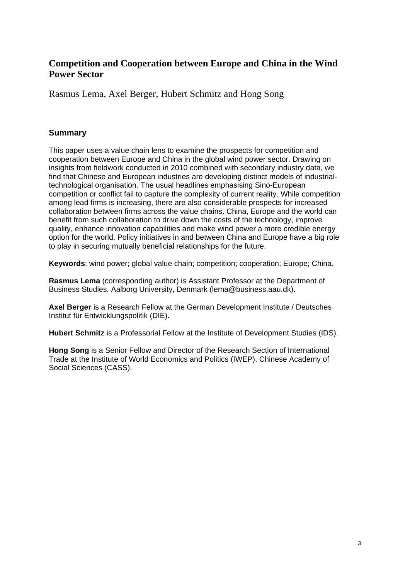## **Competition and Cooperation between Europe and China in the Wind Power Sector**

Rasmus Lema, Axel Berger, Hubert Schmitz and Hong Song

#### **Summary**

This paper uses a value chain lens to examine the prospects for competition and cooperation between Europe and China in the global wind power sector. Drawing on insights from fieldwork conducted in 2010 combined with secondary industry data, we find that Chinese and European industries are developing distinct models of industrialtechnological organisation. The usual headlines emphasising Sino-European competition or conflict fail to capture the complexity of current reality. While competition among lead firms is increasing, there are also considerable prospects for increased collaboration between firms across the value chains. China, Europe and the world can benefit from such collaboration to drive down the costs of the technology, improve quality, enhance innovation capabilities and make wind power a more credible energy option for the world. Policy initiatives in and between China and Europe have a big role to play in securing mutually beneficial relationships for the future.

**Keywords**: wind power; global value chain; competition; cooperation; Europe; China.

**Rasmus Lema** (corresponding author) is Assistant Professor at the Department of Business Studies, Aalborg University, Denmark (lema@business.aau.dk).

**Axel Berger** is a Research Fellow at the German Development Institute / Deutsches Institut für Entwicklungspolitik (DIE).

**Hubert Schmitz** is a Professorial Fellow at the Institute of Development Studies (IDS).

**Hong Song** is a Senior Fellow and Director of the Research Section of International Trade at the Institute of World Economics and Politics (IWEP), Chinese Academy of Social Sciences (CASS).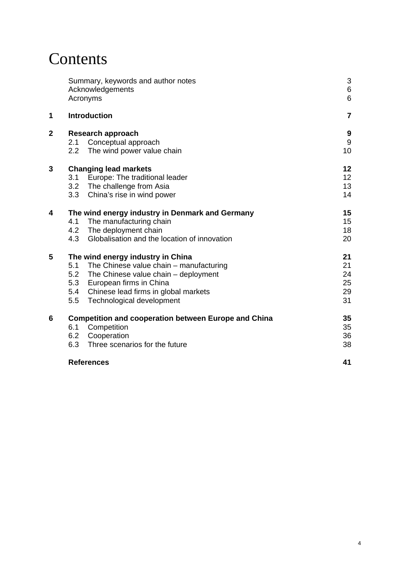## **Contents**

| Summary, keywords and author notes<br>Acknowledgements<br>Acronyms | 3<br>$\,6\,$<br>6                                                                                           |
|--------------------------------------------------------------------|-------------------------------------------------------------------------------------------------------------|
| <b>Introduction</b>                                                | $\overline{7}$                                                                                              |
| Research approach                                                  | 9                                                                                                           |
| 2.1 Conceptual approach                                            | 9                                                                                                           |
| 2.2 The wind power value chain                                     | 10                                                                                                          |
| <b>Changing lead markets</b>                                       | 12                                                                                                          |
| Europe: The traditional leader<br>3.1                              | 12                                                                                                          |
| 3.2 The challenge from Asia                                        | 13                                                                                                          |
| 3.3 China's rise in wind power                                     | 14                                                                                                          |
| The wind energy industry in Denmark and Germany                    | 15                                                                                                          |
| 4.1 The manufacturing chain                                        | 15                                                                                                          |
| 4.2 The deployment chain                                           | 18                                                                                                          |
| 4.3                                                                | 20                                                                                                          |
| The wind energy industry in China                                  | 21                                                                                                          |
| 5.1 The Chinese value chain – manufacturing                        | 21                                                                                                          |
| 5.2 The Chinese value chain - deployment                           | 24                                                                                                          |
| 5.3 European firms in China                                        | 25                                                                                                          |
| 5.4 Chinese lead firms in global markets                           | 29                                                                                                          |
| 5.5<br>Technological development                                   | 31                                                                                                          |
|                                                                    | 35                                                                                                          |
| Competition<br>6.1                                                 | 35                                                                                                          |
| 6.2 Cooperation                                                    | 36                                                                                                          |
| 6.3 Three scenarios for the future                                 | 38                                                                                                          |
| <b>References</b>                                                  | 41                                                                                                          |
|                                                                    | Globalisation and the location of innovation<br><b>Competition and cooperation between Europe and China</b> |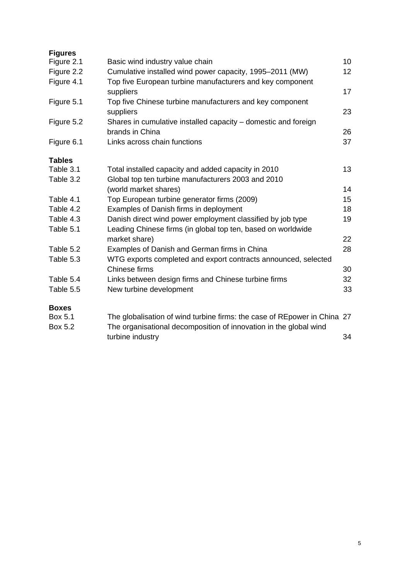| ıaure |
|-------|
|       |

| Figure 2.1    | Basic wind industry value chain                                          | 10 <sup>°</sup> |
|---------------|--------------------------------------------------------------------------|-----------------|
| Figure 2.2    | Cumulative installed wind power capacity, 1995-2011 (MW)                 | 12 <sub>2</sub> |
| Figure 4.1    | Top five European turbine manufacturers and key component                |                 |
|               | suppliers                                                                | 17              |
| Figure 5.1    | Top five Chinese turbine manufacturers and key component                 |                 |
|               | suppliers                                                                | 23              |
| Figure 5.2    | Shares in cumulative installed capacity – domestic and foreign           |                 |
|               | brands in China                                                          | 26              |
| Figure 6.1    | Links across chain functions                                             | 37              |
| <b>Tables</b> |                                                                          |                 |
| Table 3.1     | Total installed capacity and added capacity in 2010                      | 13              |
| Table 3.2     | Global top ten turbine manufacturers 2003 and 2010                       |                 |
|               | (world market shares)                                                    | 14              |
| Table 4.1     | Top European turbine generator firms (2009)                              | 15              |
| Table 4.2     | Examples of Danish firms in deployment                                   | 18              |
| Table 4.3     | Danish direct wind power employment classified by job type               | 19              |
| Table 5.1     | Leading Chinese firms (in global top ten, based on worldwide             |                 |
|               | market share)                                                            | 22              |
| Table 5.2     | Examples of Danish and German firms in China                             | 28              |
| Table 5.3     | WTG exports completed and export contracts announced, selected           |                 |
|               | Chinese firms                                                            | 30              |
| Table 5.4     | Links between design firms and Chinese turbine firms                     | 32              |
| Table 5.5     | New turbine development                                                  | 33              |
| <b>Boxes</b>  |                                                                          |                 |
| Box 5.1       | The globalisation of wind turbine firms: the case of REpower in China 27 |                 |
| Box 5.2       | The organisational decomposition of innovation in the global wind        |                 |
|               | turbine industry                                                         | 34              |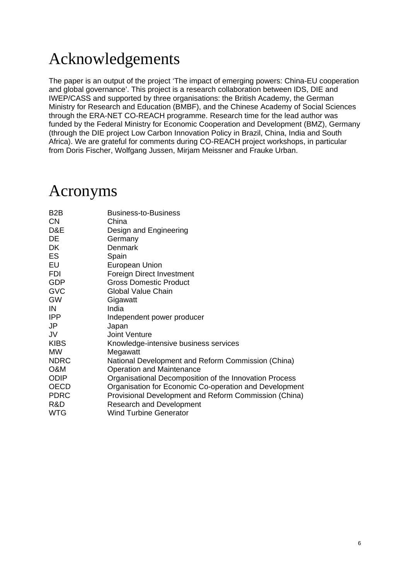## Acknowledgements

The paper is an output of the project 'The impact of emerging powers: China-EU cooperation and global governance'. This project is a research collaboration between IDS, DIE and IWEP/CASS and supported by three organisations: the British Academy, the German Ministry for Research and Education (BMBF), and the Chinese Academy of Social Sciences through the ERA-NET CO-REACH programme. Research time for the lead author was funded by the Federal Ministry for Economic Cooperation and Development (BMZ), Germany (through the DIE project Low Carbon Innovation Policy in Brazil, China, India and South Africa). We are grateful for comments during CO-REACH project workshops, in particular from Doris Fischer, Wolfgang Jussen, Mirjam Meissner and Frauke Urban.

## Acronyms

| B <sub>2</sub> B | Business-to-Business                                   |
|------------------|--------------------------------------------------------|
| <b>CN</b>        | China                                                  |
| D&E              | Design and Engineering                                 |
| DE               | Germany                                                |
| DK               | <b>Denmark</b>                                         |
| <b>ES</b>        | Spain                                                  |
| EU               | European Union                                         |
| FDI              | Foreign Direct Investment                              |
| <b>GDP</b>       | <b>Gross Domestic Product</b>                          |
| <b>GVC</b>       | <b>Global Value Chain</b>                              |
| <b>GW</b>        | Gigawatt                                               |
| IN               | India                                                  |
| IPP.             | Independent power producer                             |
| JP               | Japan                                                  |
| JV               | Joint Venture                                          |
| <b>KIBS</b>      | Knowledge-intensive business services                  |
| <b>MW</b>        | Megawatt                                               |
| <b>NDRC</b>      | National Development and Reform Commission (China)     |
| O&M              | <b>Operation and Maintenance</b>                       |
| <b>ODIP</b>      | Organisational Decomposition of the Innovation Process |
| <b>OECD</b>      | Organisation for Economic Co-operation and Development |
| <b>PDRC</b>      | Provisional Development and Reform Commission (China)  |
| R&D              | <b>Research and Development</b>                        |
| <b>WTG</b>       | <b>Wind Turbine Generator</b>                          |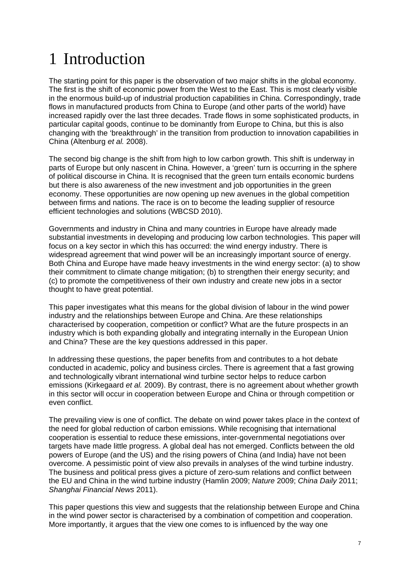## 1 Introduction

The starting point for this paper is the observation of two major shifts in the global economy. The first is the shift of economic power from the West to the East. This is most clearly visible in the enormous build-up of industrial production capabilities in China. Correspondingly, trade flows in manufactured products from China to Europe (and other parts of the world) have increased rapidly over the last three decades. Trade flows in some sophisticated products, in particular capital goods, continue to be dominantly from Europe to China, but this is also changing with the 'breakthrough' in the transition from production to innovation capabilities in China (Altenburg *et al.* 2008).

The second big change is the shift from high to low carbon growth. This shift is underway in parts of Europe but only nascent in China. However, a 'green' turn is occurring in the sphere of political discourse in China. It is recognised that the green turn entails economic burdens but there is also awareness of the new investment and job opportunities in the green economy. These opportunities are now opening up new avenues in the global competition between firms and nations. The race is on to become the leading supplier of resource efficient technologies and solutions (WBCSD 2010).

Governments and industry in China and many countries in Europe have already made substantial investments in developing and producing low carbon technologies. This paper will focus on a key sector in which this has occurred: the wind energy industry. There is widespread agreement that wind power will be an increasingly important source of energy. Both China and Europe have made heavy investments in the wind energy sector: (a) to show their commitment to climate change mitigation; (b) to strengthen their energy security; and (c) to promote the competitiveness of their own industry and create new jobs in a sector thought to have great potential.

This paper investigates what this means for the global division of labour in the wind power industry and the relationships between Europe and China. Are these relationships characterised by cooperation, competition or conflict? What are the future prospects in an industry which is both expanding globally and integrating internally in the European Union and China? These are the key questions addressed in this paper.

In addressing these questions, the paper benefits from and contributes to a hot debate conducted in academic, policy and business circles. There is agreement that a fast growing and technologically vibrant international wind turbine sector helps to reduce carbon emissions (Kirkegaard *et al.* 2009). By contrast, there is no agreement about whether growth in this sector will occur in cooperation between Europe and China or through competition or even conflict.

The prevailing view is one of conflict. The debate on wind power takes place in the context of the need for global reduction of carbon emissions. While recognising that international cooperation is essential to reduce these emissions, inter-governmental negotiations over targets have made little progress. A global deal has not emerged. Conflicts between the old powers of Europe (and the US) and the rising powers of China (and India) have not been overcome. A pessimistic point of view also prevails in analyses of the wind turbine industry. The business and political press gives a picture of zero-sum relations and conflict between the EU and China in the wind turbine industry (Hamlin 2009; *Nature* 2009; *China Daily* 2011; *Shanghai Financial News* 2011).

This paper questions this view and suggests that the relationship between Europe and China in the wind power sector is characterised by a combination of competition and cooperation. More importantly, it argues that the view one comes to is influenced by the way one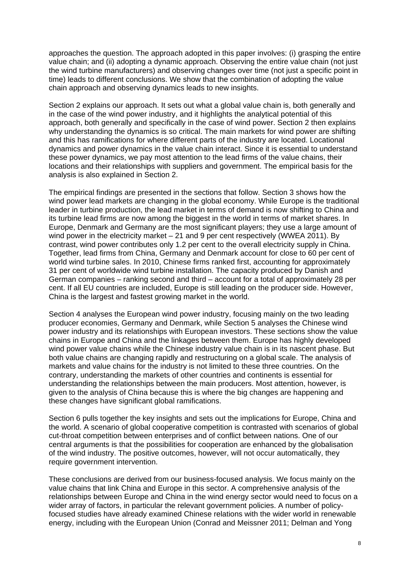approaches the question. The approach adopted in this paper involves: (i) grasping the entire value chain; and (ii) adopting a dynamic approach. Observing the entire value chain (not just the wind turbine manufacturers) and observing changes over time (not just a specific point in time) leads to different conclusions. We show that the combination of adopting the value chain approach and observing dynamics leads to new insights.

Section 2 explains our approach. It sets out what a global value chain is, both generally and in the case of the wind power industry, and it highlights the analytical potential of this approach, both generally and specifically in the case of wind power. Section 2 then explains why understanding the dynamics is so critical. The main markets for wind power are shifting and this has ramifications for where different parts of the industry are located. Locational dynamics and power dynamics in the value chain interact. Since it is essential to understand these power dynamics, we pay most attention to the lead firms of the value chains, their locations and their relationships with suppliers and government. The empirical basis for the analysis is also explained in Section 2.

The empirical findings are presented in the sections that follow. Section 3 shows how the wind power lead markets are changing in the global economy. While Europe is the traditional leader in turbine production, the lead market in terms of demand is now shifting to China and its turbine lead firms are now among the biggest in the world in terms of market shares. In Europe, Denmark and Germany are the most significant players; they use a large amount of wind power in the electricity market – 21 and 9 per cent respectively (WWEA 2011). By contrast, wind power contributes only 1.2 per cent to the overall electricity supply in China. Together, lead firms from China, Germany and Denmark account for close to 60 per cent of world wind turbine sales. In 2010, Chinese firms ranked first, accounting for approximately 31 per cent of worldwide wind turbine installation. The capacity produced by Danish and German companies – ranking second and third – account for a total of approximately 28 per cent. If all EU countries are included, Europe is still leading on the producer side. However, China is the largest and fastest growing market in the world.

Section 4 analyses the European wind power industry, focusing mainly on the two leading producer economies, Germany and Denmark, while Section 5 analyses the Chinese wind power industry and its relationships with European investors. These sections show the value chains in Europe and China and the linkages between them. Europe has highly developed wind power value chains while the Chinese industry value chain is in its nascent phase. But both value chains are changing rapidly and restructuring on a global scale. The analysis of markets and value chains for the industry is not limited to these three countries. On the contrary, understanding the markets of other countries and continents is essential for understanding the relationships between the main producers. Most attention, however, is given to the analysis of China because this is where the big changes are happening and these changes have significant global ramifications.

Section 6 pulls together the key insights and sets out the implications for Europe, China and the world. A scenario of global cooperative competition is contrasted with scenarios of global cut-throat competition between enterprises and of conflict between nations. One of our central arguments is that the possibilities for cooperation are enhanced by the globalisation of the wind industry. The positive outcomes, however, will not occur automatically, they require government intervention.

These conclusions are derived from our business-focused analysis. We focus mainly on the value chains that link China and Europe in this sector. A comprehensive analysis of the relationships between Europe and China in the wind energy sector would need to focus on a wider array of factors, in particular the relevant government policies. A number of policyfocused studies have already examined Chinese relations with the wider world in renewable energy, including with the European Union (Conrad and Meissner 2011; Delman and Yong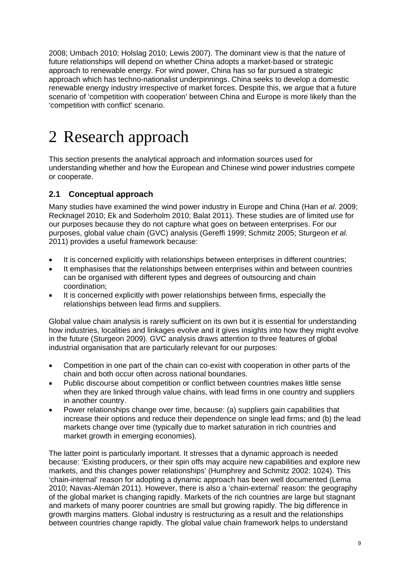2008; Umbach 2010; Holslag 2010; Lewis 2007). The dominant view is that the nature of future relationships will depend on whether China adopts a market-based or strategic approach to renewable energy. For wind power, China has so far pursued a strategic approach which has techno-nationalist underpinnings. China seeks to develop a domestic renewable energy industry irrespective of market forces. Despite this, we argue that a future scenario of 'competition with cooperation' between China and Europe is more likely than the 'competition with conflict' scenario.

## 2 Research approach

This section presents the analytical approach and information sources used for understanding whether and how the European and Chinese wind power industries compete or cooperate.

## **2.1 Conceptual approach**

Many studies have examined the wind power industry in Europe and China (Han *et al.* 2009; Recknagel 2010; Ek and Soderholm 2010; Balat 2011). These studies are of limited use for our purposes because they do not capture what goes on between enterprises. For our purposes, global value chain (GVC) analysis (Gereffi 1999; Schmitz 2005; Sturgeon *et al.* 2011) provides a useful framework because:

- It is concerned explicitly with relationships between enterprises in different countries;
- It emphasises that the relationships between enterprises within and between countries can be organised with different types and degrees of outsourcing and chain coordination;
- It is concerned explicitly with power relationships between firms, especially the relationships between lead firms and suppliers.

Global value chain analysis is rarely sufficient on its own but it is essential for understanding how industries, localities and linkages evolve and it gives insights into how they might evolve in the future (Sturgeon 2009). GVC analysis draws attention to three features of global industrial organisation that are particularly relevant for our purposes:

- Competition in one part of the chain can co-exist with cooperation in other parts of the chain and both occur often across national boundaries.
- Public discourse about competition or conflict between countries makes little sense when they are linked through value chains, with lead firms in one country and suppliers in another country.
- Power relationships change over time, because: (a) suppliers gain capabilities that increase their options and reduce their dependence on single lead firms; and (b) the lead markets change over time (typically due to market saturation in rich countries and market growth in emerging economies).

The latter point is particularly important. It stresses that a dynamic approach is needed because: 'Existing producers, or their spin offs may acquire new capabilities and explore new markets, and this changes power relationships' (Humphrey and Schmitz 2002: 1024). This 'chain-internal' reason for adopting a dynamic approach has been well documented (Lema 2010; Navas-Alemán 2011). However, there is also a 'chain-external' reason: the geography of the global market is changing rapidly. Markets of the rich countries are large but stagnant and markets of many poorer countries are small but growing rapidly. The big difference in growth margins matters. Global industry is restructuring as a result and the relationships between countries change rapidly. The global value chain framework helps to understand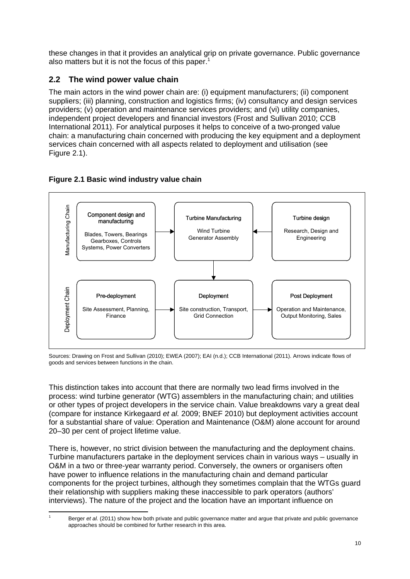these changes in that it provides an analytical grip on private governance. Public governance also matters but it is not the focus of this paper.<sup>1</sup>

## **2.2 The wind power value chain**

The main actors in the wind power chain are: (i) equipment manufacturers; (ii) component suppliers; (iii) planning, construction and logistics firms; (iv) consultancy and design services providers; (v) operation and maintenance services providers; and (vi) utility companies, independent project developers and financial investors (Frost and Sullivan 2010; CCB International 2011). For analytical purposes it helps to conceive of a two-pronged value chain: a manufacturing chain concerned with producing the key equipment and a deployment services chain concerned with all aspects related to deployment and utilisation (see Figure 2.1).

### **Figure 2.1 Basic wind industry value chain**



Sources: Drawing on Frost and Sullivan (2010); EWEA (2007); EAI (n.d.); CCB International (2011). Arrows indicate flows of goods and services between functions in the chain.

This distinction takes into account that there are normally two lead firms involved in the process: wind turbine generator (WTG) assemblers in the manufacturing chain; and utilities or other types of project developers in the service chain. Value breakdowns vary a great deal (compare for instance Kirkegaard *et al.* 2009; BNEF 2010) but deployment activities account for a substantial share of value: Operation and Maintenance (O&M) alone account for around 20–30 per cent of project lifetime value.

There is, however, no strict division between the manufacturing and the deployment chains. Turbine manufacturers partake in the deployment services chain in various ways – usually in O&M in a two or three-year warranty period. Conversely, the owners or organisers often have power to influence relations in the manufacturing chain and demand particular components for the project turbines, although they sometimes complain that the WTGs guard their relationship with suppliers making these inaccessible to park operators (authors' interviews). The nature of the project and the location have an important influence on

 1 Berger *et al.* (2011) show how both private and public governance matter and argue that private and public governance approaches should be combined for further research in this area.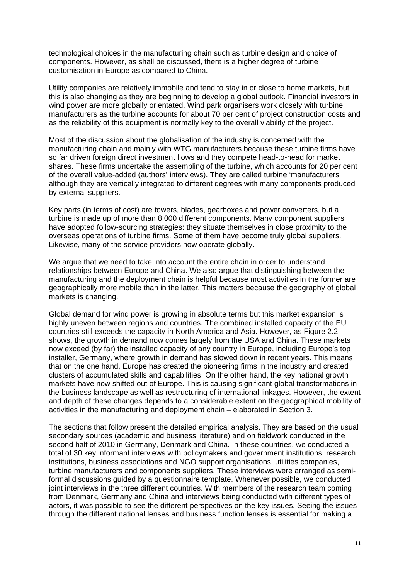technological choices in the manufacturing chain such as turbine design and choice of components. However, as shall be discussed, there is a higher degree of turbine customisation in Europe as compared to China.

Utility companies are relatively immobile and tend to stay in or close to home markets, but this is also changing as they are beginning to develop a global outlook. Financial investors in wind power are more globally orientated. Wind park organisers work closely with turbine manufacturers as the turbine accounts for about 70 per cent of project construction costs and as the reliability of this equipment is normally key to the overall viability of the project.

Most of the discussion about the globalisation of the industry is concerned with the manufacturing chain and mainly with WTG manufacturers because these turbine firms have so far driven foreign direct investment flows and they compete head-to-head for market shares. These firms undertake the assembling of the turbine, which accounts for 20 per cent of the overall value-added (authors' interviews). They are called turbine 'manufacturers' although they are vertically integrated to different degrees with many components produced by external suppliers.

Key parts (in terms of cost) are towers, blades, gearboxes and power converters, but a turbine is made up of more than 8,000 different components. Many component suppliers have adopted follow-sourcing strategies: they situate themselves in close proximity to the overseas operations of turbine firms. Some of them have become truly global suppliers. Likewise, many of the service providers now operate globally.

We argue that we need to take into account the entire chain in order to understand relationships between Europe and China. We also argue that distinguishing between the manufacturing and the deployment chain is helpful because most activities in the former are geographically more mobile than in the latter. This matters because the geography of global markets is changing.

Global demand for wind power is growing in absolute terms but this market expansion is highly uneven between regions and countries. The combined installed capacity of the EU countries still exceeds the capacity in North America and Asia. However, as Figure 2.2 shows, the growth in demand now comes largely from the USA and China. These markets now exceed (by far) the installed capacity of any country in Europe, including Europe's top installer, Germany, where growth in demand has slowed down in recent years. This means that on the one hand, Europe has created the pioneering firms in the industry and created clusters of accumulated skills and capabilities. On the other hand, the key national growth markets have now shifted out of Europe. This is causing significant global transformations in the business landscape as well as restructuring of international linkages. However, the extent and depth of these changes depends to a considerable extent on the geographical mobility of activities in the manufacturing and deployment chain – elaborated in Section 3.

The sections that follow present the detailed empirical analysis. They are based on the usual secondary sources (academic and business literature) and on fieldwork conducted in the second half of 2010 in Germany, Denmark and China. In these countries, we conducted a total of 30 key informant interviews with policymakers and government institutions, research institutions, business associations and NGO support organisations, utilities companies, turbine manufacturers and components suppliers. These interviews were arranged as semiformal discussions guided by a questionnaire template. Whenever possible, we conducted joint interviews in the three different countries. With members of the research team coming from Denmark, Germany and China and interviews being conducted with different types of actors, it was possible to see the different perspectives on the key issues. Seeing the issues through the different national lenses and business function lenses is essential for making a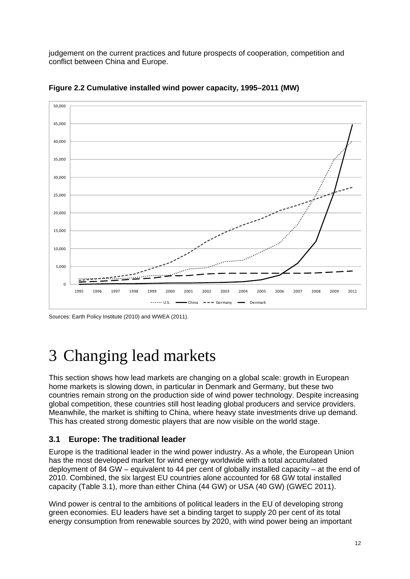judgement on the current practices and future prospects of cooperation, competition and conflict between China and Europe.



**Figure 2.2 Cumulative installed wind power capacity, 1995–2011 (MW)** 

Sources: Earth Policy Institute (2010) and WWEA (2011).

## 3 Changing lead markets

This section shows how lead markets are changing on a global scale: growth in European home markets is slowing down, in particular in Denmark and Germany, but these two countries remain strong on the production side of wind power technology. Despite increasing global competition, these countries still host leading global producers and service providers. Meanwhile, the market is shifting to China, where heavy state investments drive up demand. This has created strong domestic players that are now visible on the world stage.

## **3.1 Europe: The traditional leader**

Europe is the traditional leader in the wind power industry. As a whole, the European Union has the most developed market for wind energy worldwide with a total accumulated deployment of 84 GW – equivalent to 44 per cent of globally installed capacity – at the end of 2010. Combined, the six largest EU countries alone accounted for 68 GW total installed capacity (Table 3.1), more than either China (44 GW) or USA (40 GW) (GWEC 2011).

Wind power is central to the ambitions of political leaders in the EU of developing strong green economies. EU leaders have set a binding target to supply 20 per cent of its total energy consumption from renewable sources by 2020, with wind power being an important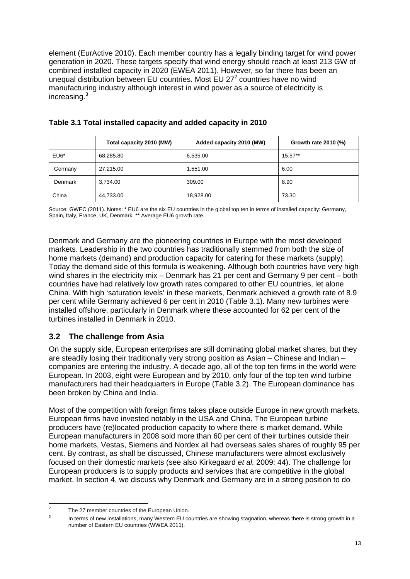element (EurActive 2010). Each member country has a legally binding target for wind power generation in 2020. These targets specify that wind energy should reach at least 213 GW of combined installed capacity in 2020 (EWEA 2011). However, so far there has been an unequal distribution between EU countries. Most EU 27 $2$  countries have no wind manufacturing industry although interest in wind power as a source of electricity is increasing.3

|         | Total capacity 2010 (MW) | Added capacity 2010 (MW) | Growth rate 2010 (%) |
|---------|--------------------------|--------------------------|----------------------|
| EU6*    | 68,285.80                | 6,535.00                 | 15.57**              |
| Germany | 27.215.00                | 1,551.00                 | 6.00                 |
| Denmark | 3.734.00                 | 309.00                   | 8.90                 |
| China   | 44,733.00                | 18,928.00                | 73.30                |

#### **Table 3.1 Total installed capacity and added capacity in 2010**

Source: GWEC (2011). Notes: \* EU6 are the six EU countries in the global top ten in terms of installed capacity: Germany, Spain, Italy, France, UK, Denmark. \*\* Average EU6 growth rate.

Denmark and Germany are the pioneering countries in Europe with the most developed markets. Leadership in the two countries has traditionally stemmed from both the size of home markets (demand) and production capacity for catering for these markets (supply). Today the demand side of this formula is weakening. Although both countries have very high wind shares in the electricity mix – Denmark has 21 per cent and Germany 9 per cent – both countries have had relatively low growth rates compared to other EU countries, let alone China. With high 'saturation levels' in these markets, Denmark achieved a growth rate of 8.9 per cent while Germany achieved 6 per cent in 2010 (Table 3.1). Many new turbines were installed offshore, particularly in Denmark where these accounted for 62 per cent of the turbines installed in Denmark in 2010.

## **3.2 The challenge from Asia**

On the supply side, European enterprises are still dominating global market shares, but they are steadily losing their traditionally very strong position as Asian – Chinese and Indian – companies are entering the industry. A decade ago, all of the top ten firms in the world were European. In 2003, eight were European and by 2010, only four of the top ten wind turbine manufacturers had their headquarters in Europe (Table 3.2). The European dominance has been broken by China and India.

Most of the competition with foreign firms takes place outside Europe in new growth markets. European firms have invested notably in the USA and China. The European turbine producers have (re)located production capacity to where there is market demand. While European manufacturers in 2008 sold more than 60 per cent of their turbines outside their home markets, Vestas, Siemens and Nordex all had overseas sales shares of roughly 95 per cent. By contrast, as shall be discussed, Chinese manufacturers were almost exclusively focused on their domestic markets (see also Kirkegaard *et al.* 2009: 44). The challenge for European producers is to supply products and services that are competitive in the global market. In section 4, we discuss why Denmark and Germany are in a strong position to do

 <sup>2</sup> The 27 member countries of the European Union.

<sup>3</sup> In terms of new installations, many Western EU countries are showing stagnation, whereas there is strong growth in a number of Eastern EU countries (WWEA 2011).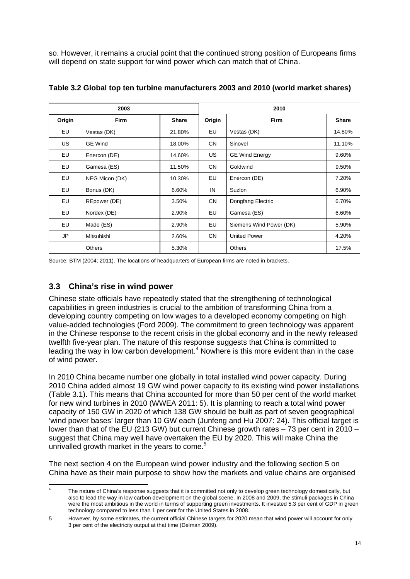so. However, it remains a crucial point that the continued strong position of Europeans firms will depend on state support for wind power which can match that of China.

| 2003   |                |              |           | 2010                    |              |  |  |
|--------|----------------|--------------|-----------|-------------------------|--------------|--|--|
| Origin | <b>Firm</b>    | <b>Share</b> | Origin    | <b>Firm</b>             | <b>Share</b> |  |  |
| EU     | Vestas (DK)    | 21.80%       | EU        | Vestas (DK)             | 14.80%       |  |  |
| US.    | <b>GE Wind</b> | 18.00%       | CN.       | Sinovel                 | 11.10%       |  |  |
| EU     | Enercon (DE)   | 14.60%       | US.       | <b>GE Wind Energy</b>   | 9.60%        |  |  |
| EU     | Gamesa (ES)    | 11.50%       | <b>CN</b> | Goldwind                | 9.50%        |  |  |
| EU     | NEG Micon (DK) | 10.30%       | EU        | Enercon (DE)            | 7.20%        |  |  |
| EU     | Bonus (DK)     | 6.60%        | IN        | Suzlon                  | 6.90%        |  |  |
| EU     | REpower (DE)   | 3.50%        | <b>CN</b> | Dongfang Electric       | 6.70%        |  |  |
| EU     | Nordex (DE)    | 2.90%        | EU        | Gamesa (ES)             | 6.60%        |  |  |
| EU     | Made (ES)      | 2.90%        | EU        | Siemens Wind Power (DK) | 5.90%        |  |  |
| JP     | Mitsubishi     | 2.60%        | <b>CN</b> | <b>United Power</b>     | 4.20%        |  |  |
|        | <b>Others</b>  | 5.30%        |           | <b>Others</b>           | 17.5%        |  |  |

**Table 3.2 Global top ten turbine manufacturers 2003 and 2010 (world market shares)** 

Source: BTM (2004; 2011). The locations of headquarters of European firms are noted in brackets.

## **3.3 China's rise in wind power**

Chinese state officials have repeatedly stated that the strengthening of technological capabilities in green industries is crucial to the ambition of transforming China from a developing country competing on low wages to a developed economy competing on high value-added technologies (Ford 2009). The commitment to green technology was apparent in the Chinese response to the recent crisis in the global economy and in the newly released twelfth five-year plan. The nature of this response suggests that China is committed to leading the way in low carbon development.<sup>4</sup> Nowhere is this more evident than in the case of wind power.

In 2010 China became number one globally in total installed wind power capacity. During 2010 China added almost 19 GW wind power capacity to its existing wind power installations (Table 3.1). This means that China accounted for more than 50 per cent of the world market for new wind turbines in 2010 (WWEA 2011: 5). It is planning to reach a total wind power capacity of 150 GW in 2020 of which 138 GW should be built as part of seven geographical 'wind power bases' larger than 10 GW each (Junfeng and Hu 2007: 24). This official target is lower than that of the EU (213 GW) but current Chinese growth rates – 73 per cent in 2010 – suggest that China may well have overtaken the EU by 2020. This will make China the unrivalled growth market in the years to come.<sup>5</sup>

The next section 4 on the European wind power industry and the following section 5 on China have as their main purpose to show how the markets and value chains are organised

 4 The nature of China's response suggests that it is committed not only to develop green technology domestically, but also to lead the way in low carbon development on the global scene. In 2008 and 2009, the stimuli packages in China were the most ambitious in the world in terms of supporting green investments. It invested 5.3 per cent of GDP in green technology compared to less than 1 per cent for the United States in 2008.

<sup>5</sup> However, by some estimates, the current official Chinese targets for 2020 mean that wind power will account for only 3 per cent of the electricity output at that time (Delman 2009).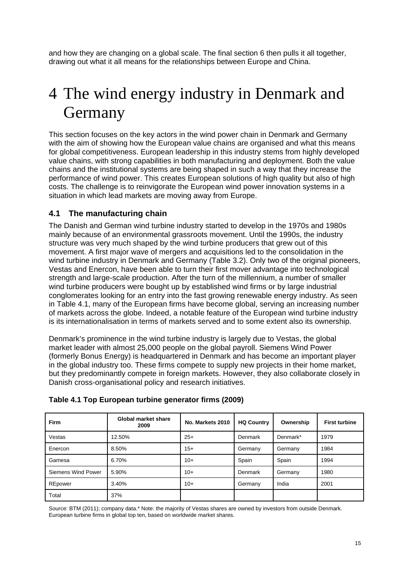and how they are changing on a global scale. The final section 6 then pulls it all together, drawing out what it all means for the relationships between Europe and China.

## 4 The wind energy industry in Denmark and Germany

This section focuses on the key actors in the wind power chain in Denmark and Germany with the aim of showing how the European value chains are organised and what this means for global competitiveness. European leadership in this industry stems from highly developed value chains, with strong capabilities in both manufacturing and deployment. Both the value chains and the institutional systems are being shaped in such a way that they increase the performance of wind power. This creates European solutions of high quality but also of high costs. The challenge is to reinvigorate the European wind power innovation systems in a situation in which lead markets are moving away from Europe.

### **4.1 The manufacturing chain**

The Danish and German wind turbine industry started to develop in the 1970s and 1980s mainly because of an environmental grassroots movement. Until the 1990s, the industry structure was very much shaped by the wind turbine producers that grew out of this movement. A first major wave of mergers and acquisitions led to the consolidation in the wind turbine industry in Denmark and Germany (Table 3.2). Only two of the original pioneers, Vestas and Enercon, have been able to turn their first mover advantage into technological strength and large-scale production. After the turn of the millennium, a number of smaller wind turbine producers were bought up by established wind firms or by large industrial conglomerates looking for an entry into the fast growing renewable energy industry. As seen in Table 4.1, many of the European firms have become global, serving an increasing number of markets across the globe. Indeed, a notable feature of the European wind turbine industry is its internationalisation in terms of markets served and to some extent also its ownership.

Denmark's prominence in the wind turbine industry is largely due to Vestas, the global market leader with almost 25,000 people on the global payroll. Siemens Wind Power (formerly Bonus Energy) is headquartered in Denmark and has become an important player in the global industry too. These firms compete to supply new projects in their home market, but they predominantly compete in foreign markets. However, they also collaborate closely in Danish cross-organisational policy and research initiatives.

| Firm               | <b>Global market share</b><br>2009 | No. Markets 2010 | <b>HQ Country</b> | Ownership | <b>First turbine</b> |
|--------------------|------------------------------------|------------------|-------------------|-----------|----------------------|
| Vestas             | 12.50%                             | $25+$            | Denmark           | Denmark*  | 1979                 |
| Enercon            | 8.50%                              | $15+$            | Germany           | Germany   | 1984                 |
| Gamesa             | 6.70%                              | $10+$            | Spain             | Spain     | 1994                 |
| Siemens Wind Power | 5.90%                              | $10+$            | Denmark           | Germany   | 1980                 |
| REpower            | 3.40%                              | $10+$            | Germany           | India     | 2001                 |
| Total              | 37%                                |                  |                   |           |                      |

#### **Table 4.1 Top European turbine generator firms (2009)**

Source: BTM (2011); company data.\* Note: the majority of Vestas shares are owned by investors from outside Denmark. European turbine firms in global top ten, based on worldwide market shares.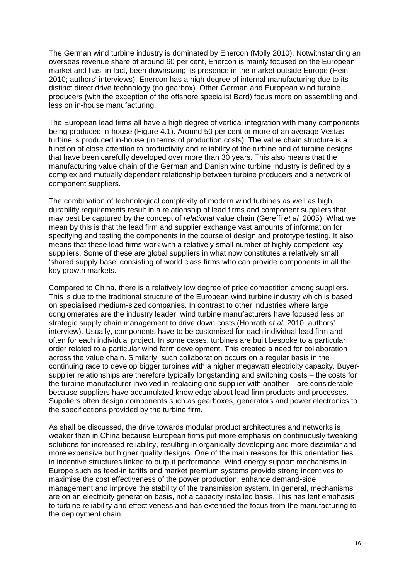The German wind turbine industry is dominated by Enercon (Molly 2010). Notwithstanding an overseas revenue share of around 60 per cent, Enercon is mainly focused on the European market and has, in fact, been downsizing its presence in the market outside Europe (Hein 2010; authors' interviews). Enercon has a high degree of internal manufacturing due to its distinct direct drive technology (no gearbox). Other German and European wind turbine producers (with the exception of the offshore specialist Bard) focus more on assembling and less on in-house manufacturing.

The European lead firms all have a high degree of vertical integration with many components being produced in-house (Figure 4.1). Around 50 per cent or more of an average Vestas turbine is produced in-house (in terms of production costs). The value chain structure is a function of close attention to productivity and reliability of the turbine and of turbine designs that have been carefully developed over more than 30 years. This also means that the manufacturing value chain of the German and Danish wind turbine industry is defined by a complex and mutually dependent relationship between turbine producers and a network of component suppliers.

The combination of technological complexity of modern wind turbines as well as high durability requirements result in a relationship of lead firms and component suppliers that may best be captured by the concept of *relational* value chain (Gereffi *et al.* 2005). What we mean by this is that the lead firm and supplier exchange vast amounts of information for specifying and testing the components in the course of design and prototype testing. It also means that these lead firms work with a relatively small number of highly competent key suppliers. Some of these are global suppliers in what now constitutes a relatively small 'shared supply base' consisting of world class firms who can provide components in all the key growth markets.

Compared to China, there is a relatively low degree of price competition among suppliers. This is due to the traditional structure of the European wind turbine industry which is based on specialised medium-sized companies. In contrast to other industries where large conglomerates are the industry leader, wind turbine manufacturers have focused less on strategic supply chain management to drive down costs (Hohrath *et al.* 2010; authors' interview). Usually, components have to be customised for each individual lead firm and often for each individual project. In some cases, turbines are built bespoke to a particular order related to a particular wind farm development. This created a need for collaboration across the value chain. Similarly, such collaboration occurs on a regular basis in the continuing race to develop bigger turbines with a higher megawatt electricity capacity. Buyersupplier relationships are therefore typically longstanding and switching costs – the costs for the turbine manufacturer involved in replacing one supplier with another – are considerable because suppliers have accumulated knowledge about lead firm products and processes. Suppliers often design components such as gearboxes, generators and power electronics to the specifications provided by the turbine firm.

As shall be discussed, the drive towards modular product architectures and networks is weaker than in China because European firms put more emphasis on continuously tweaking solutions for increased reliability, resulting in organically developing and more dissimilar and more expensive but higher quality designs. One of the main reasons for this orientation lies in incentive structures linked to output performance. Wind energy support mechanisms in Europe such as feed-in tariffs and market premium systems provide strong incentives to maximise the cost effectiveness of the power production, enhance demand-side management and improve the stability of the transmission system. In general, mechanisms are on an electricity generation basis, not a capacity installed basis. This has lent emphasis to turbine reliability and effectiveness and has extended the focus from the manufacturing to the deployment chain.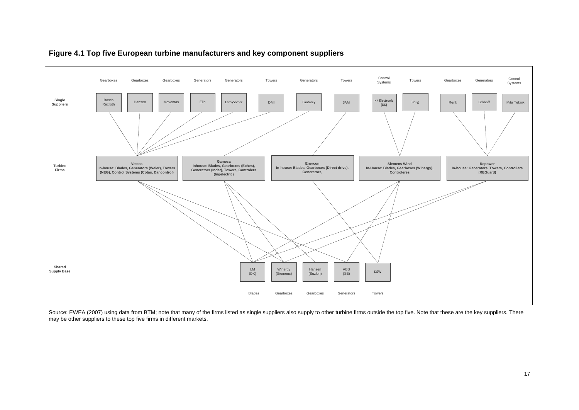

#### **Figure 4.1 Top five European turbine manufacturers and key component suppliers**

Source: EWEA (2007) using data from BTM; note that many of the firms listed as single suppliers also supply to other turbine firms outside the top five. Note that these are the key suppliers. There may be other suppliers to these top five firms in different markets.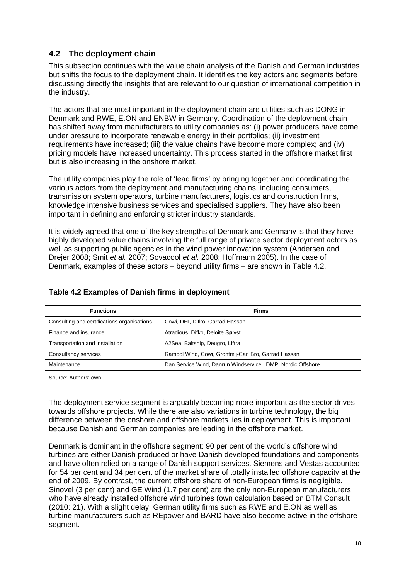### **4.2 The deployment chain**

This subsection continues with the value chain analysis of the Danish and German industries but shifts the focus to the deployment chain. It identifies the key actors and segments before discussing directly the insights that are relevant to our question of international competition in the industry.

The actors that are most important in the deployment chain are utilities such as DONG in Denmark and RWE, E.ON and ENBW in Germany. Coordination of the deployment chain has shifted away from manufacturers to utility companies as: (i) power producers have come under pressure to incorporate renewable energy in their portfolios; (ii) investment requirements have increased; (iii) the value chains have become more complex; and (iv) pricing models have increased uncertainty. This process started in the offshore market first but is also increasing in the onshore market.

The utility companies play the role of 'lead firms' by bringing together and coordinating the various actors from the deployment and manufacturing chains, including consumers, transmission system operators, turbine manufacturers, logistics and construction firms, knowledge intensive business services and specialised suppliers. They have also been important in defining and enforcing stricter industry standards.

It is widely agreed that one of the key strengths of Denmark and Germany is that they have highly developed value chains involving the full range of private sector deployment actors as well as supporting public agencies in the wind power innovation system (Andersen and Drejer 2008; Smit *et al.* 2007; Sovacool *et al.* 2008; Hoffmann 2005). In the case of Denmark, examples of these actors – beyond utility firms – are shown in Table 4.2.

| <b>Functions</b>                            | <b>Firms</b>                                               |
|---------------------------------------------|------------------------------------------------------------|
| Consulting and certifications organisations | Cowi, DHI, Difko, Garrad Hassan                            |
| Finance and insurance                       | Atradious, Difko, Deloite Sølyst                           |
| Transportation and installation             | A2Sea, Baltship, Deugro, Liftra                            |
| Consultancy services                        | Rambol Wind, Cowi, Grontmij-Carl Bro, Garrad Hassan        |
| Maintenance                                 | Dan Service Wind, Danrun Windservice, DMP, Nordic Offshore |

#### **Table 4.2 Examples of Danish firms in deployment**

Source: Authors' own.

The deployment service segment is arguably becoming more important as the sector drives towards offshore projects. While there are also variations in turbine technology, the big difference between the onshore and offshore markets lies in deployment. This is important because Danish and German companies are leading in the offshore market.

Denmark is dominant in the offshore segment: 90 per cent of the world's offshore wind turbines are either Danish produced or have Danish developed foundations and components and have often relied on a range of Danish support services. Siemens and Vestas accounted for 54 per cent and 34 per cent of the market share of totally installed offshore capacity at the end of 2009. By contrast, the current offshore share of non-European firms is negligible. Sinovel (3 per cent) and GE Wind (1.7 per cent) are the only non-European manufacturers who have already installed offshore wind turbines (own calculation based on BTM Consult (2010: 21). With a slight delay, German utility firms such as RWE and E.ON as well as turbine manufacturers such as REpower and BARD have also become active in the offshore segment.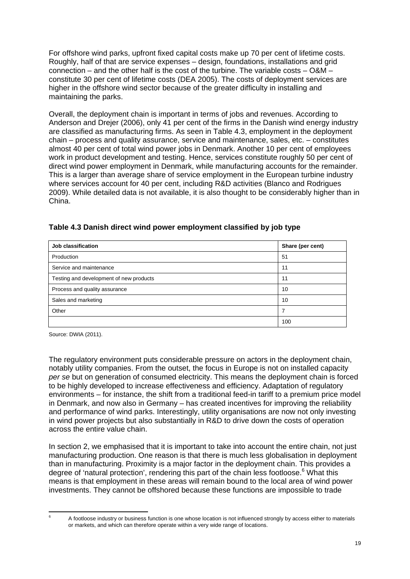For offshore wind parks, upfront fixed capital costs make up 70 per cent of lifetime costs. Roughly, half of that are service expenses – design, foundations, installations and grid connection – and the other half is the cost of the turbine. The variable costs – O&M – constitute 30 per cent of lifetime costs (DEA 2005). The costs of deployment services are higher in the offshore wind sector because of the greater difficulty in installing and maintaining the parks.

Overall, the deployment chain is important in terms of jobs and revenues. According to Anderson and Drejer (2006), only 41 per cent of the firms in the Danish wind energy industry are classified as manufacturing firms. As seen in Table 4.3, employment in the deployment chain – process and quality assurance, service and maintenance, sales, etc. – constitutes almost 40 per cent of total wind power jobs in Denmark. Another 10 per cent of employees work in product development and testing. Hence, services constitute roughly 50 per cent of direct wind power employment in Denmark, while manufacturing accounts for the remainder. This is a larger than average share of service employment in the European turbine industry where services account for 40 per cent, including R&D activities (Blanco and Rodrigues 2009). While detailed data is not available, it is also thought to be considerably higher than in China.

| Job classification                      | Share (per cent) |
|-----------------------------------------|------------------|
| Production                              | 51               |
| Service and maintenance                 | 11               |
| Testing and development of new products | 11               |
| Process and quality assurance           | 10               |
| Sales and marketing                     | 10               |
| Other                                   | 7                |
|                                         | 100              |

#### **Table 4.3 Danish direct wind power employment classified by job type**

Source: DWIA (2011).

The regulatory environment puts considerable pressure on actors in the deployment chain, notably utility companies. From the outset, the focus in Europe is not on installed capacity *per se* but on generation of consumed electricity. This means the deployment chain is forced to be highly developed to increase effectiveness and efficiency. Adaptation of regulatory environments – for instance, the shift from a traditional feed-in tariff to a premium price model in Denmark, and now also in Germany – has created incentives for improving the reliability and performance of wind parks. Interestingly, utility organisations are now not only investing in wind power projects but also substantially in R&D to drive down the costs of operation across the entire value chain.

In section 2, we emphasised that it is important to take into account the entire chain, not just manufacturing production. One reason is that there is much less globalisation in deployment than in manufacturing. Proximity is a major factor in the deployment chain. This provides a degree of 'natural protection', rendering this part of the chain less footloose.<sup>6</sup> What this means is that employment in these areas will remain bound to the local area of wind power investments. They cannot be offshored because these functions are impossible to trade

<sup>6</sup> A footloose industry or business function is one whose location is not influenced strongly by access either to materials or markets, and which can therefore operate within a very wide range of locations.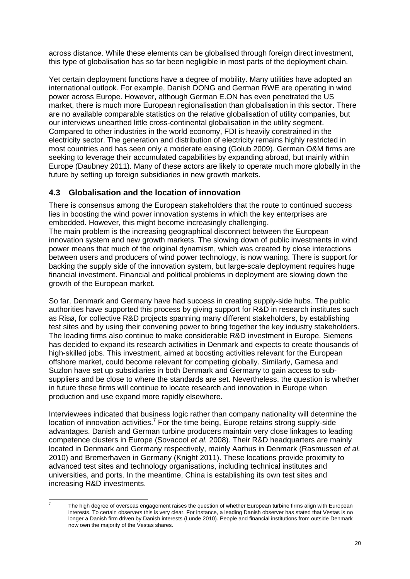across distance. While these elements can be globalised through foreign direct investment, this type of globalisation has so far been negligible in most parts of the deployment chain.

Yet certain deployment functions have a degree of mobility. Many utilities have adopted an international outlook. For example, Danish DONG and German RWE are operating in wind power across Europe. However, although German E.ON has even penetrated the US market, there is much more European regionalisation than globalisation in this sector. There are no available comparable statistics on the relative globalisation of utility companies, but our interviews unearthed little cross-continental globalisation in the utility segment. Compared to other industries in the world economy, FDI is heavily constrained in the electricity sector. The generation and distribution of electricity remains highly restricted in most countries and has seen only a moderate easing (Golub 2009). German O&M firms are seeking to leverage their accumulated capabilities by expanding abroad, but mainly within Europe (Daubney 2011). Many of these actors are likely to operate much more globally in the future by setting up foreign subsidiaries in new growth markets.

### **4.3 Globalisation and the location of innovation**

There is consensus among the European stakeholders that the route to continued success lies in boosting the wind power innovation systems in which the key enterprises are embedded. However, this might become increasingly challenging.

The main problem is the increasing geographical disconnect between the European innovation system and new growth markets. The slowing down of public investments in wind power means that much of the original dynamism, which was created by close interactions between users and producers of wind power technology, is now waning. There is support for backing the supply side of the innovation system, but large-scale deployment requires huge financial investment. Financial and political problems in deployment are slowing down the growth of the European market.

So far, Denmark and Germany have had success in creating supply-side hubs. The public authorities have supported this process by giving support for R&D in research institutes such as Risø, for collective R&D projects spanning many different stakeholders, by establishing test sites and by using their convening power to bring together the key industry stakeholders. The leading firms also continue to make considerable R&D investment in Europe. Siemens has decided to expand its research activities in Denmark and expects to create thousands of high-skilled jobs. This investment, aimed at boosting activities relevant for the European offshore market, could become relevant for competing globally. Similarly, Gamesa and Suzlon have set up subsidiaries in both Denmark and Germany to gain access to subsuppliers and be close to where the standards are set. Nevertheless, the question is whether in future these firms will continue to locate research and innovation in Europe when production and use expand more rapidly elsewhere.

Interviewees indicated that business logic rather than company nationality will determine the location of innovation activities.<sup>7</sup> For the time being, Europe retains strong supply-side advantages. Danish and German turbine producers maintain very close linkages to leading competence clusters in Europe (Sovacool *et al.* 2008). Their R&D headquarters are mainly located in Denmark and Germany respectively, mainly Aarhus in Denmark (Rasmussen *et al.* 2010) and Bremerhaven in Germany (Knight 2011). These locations provide proximity to advanced test sites and technology organisations, including technical institutes and universities, and ports. In the meantime, China is establishing its own test sites and increasing R&D investments.

 7 The high degree of overseas engagement raises the question of whether European turbine firms align with European interests. To certain observers this is very clear. For instance, a leading Danish observer has stated that Vestas is no longer a Danish firm driven by Danish interests (Lunde 2010). People and financial institutions from outside Denmark now own the majority of the Vestas shares.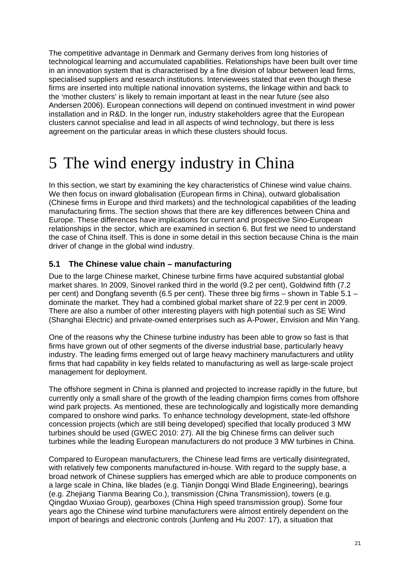The competitive advantage in Denmark and Germany derives from long histories of technological learning and accumulated capabilities. Relationships have been built over time in an innovation system that is characterised by a fine division of labour between lead firms, specialised suppliers and research institutions. Interviewees stated that even though these firms are inserted into multiple national innovation systems, the linkage within and back to the 'mother clusters' is likely to remain important at least in the near future (see also Andersen 2006). European connections will depend on continued investment in wind power installation and in R&D. In the longer run, industry stakeholders agree that the European clusters cannot specialise and lead in all aspects of wind technology, but there is less agreement on the particular areas in which these clusters should focus.

## 5 The wind energy industry in China

In this section, we start by examining the key characteristics of Chinese wind value chains. We then focus on inward globalisation (European firms in China), outward globalisation (Chinese firms in Europe and third markets) and the technological capabilities of the leading manufacturing firms. The section shows that there are key differences between China and Europe. These differences have implications for current and prospective Sino-European relationships in the sector, which are examined in section 6. But first we need to understand the case of China itself. This is done in some detail in this section because China is the main driver of change in the global wind industry.

### **5.1 The Chinese value chain – manufacturing**

Due to the large Chinese market, Chinese turbine firms have acquired substantial global market shares. In 2009, Sinovel ranked third in the world (9.2 per cent), Goldwind fifth (7.2 per cent) and Dongfang seventh (6.5 per cent). These three big firms – shown in Table 5.1 – dominate the market. They had a combined global market share of 22.9 per cent in 2009. There are also a number of other interesting players with high potential such as SE Wind (Shanghai Electric) and private-owned enterprises such as A-Power, Envision and Min Yang.

One of the reasons why the Chinese turbine industry has been able to grow so fast is that firms have grown out of other segments of the diverse industrial base, particularly heavy industry. The leading firms emerged out of large heavy machinery manufacturers and utility firms that had capability in key fields related to manufacturing as well as large-scale project management for deployment.

The offshore segment in China is planned and projected to increase rapidly in the future, but currently only a small share of the growth of the leading champion firms comes from offshore wind park projects. As mentioned, these are technologically and logistically more demanding compared to onshore wind parks. To enhance technology development, state-led offshore concession projects (which are still being developed) specified that locally produced 3 MW turbines should be used (GWEC 2010: 27). All the big Chinese firms can deliver such turbines while the leading European manufacturers do not produce 3 MW turbines in China.

Compared to European manufacturers, the Chinese lead firms are vertically disintegrated, with relatively few components manufactured in-house. With regard to the supply base, a broad network of Chinese suppliers has emerged which are able to produce components on a large scale in China, like blades (e.g. Tianjin Dongqi Wind Blade Engineering), bearings (e.g. Zhejiang Tianma Bearing Co.), transmission (China Transmission), towers (e.g. Qingdao Wuxiao Group), gearboxes (China High speed transmission group). Some four years ago the Chinese wind turbine manufacturers were almost entirely dependent on the import of bearings and electronic controls (Junfeng and Hu 2007: 17), a situation that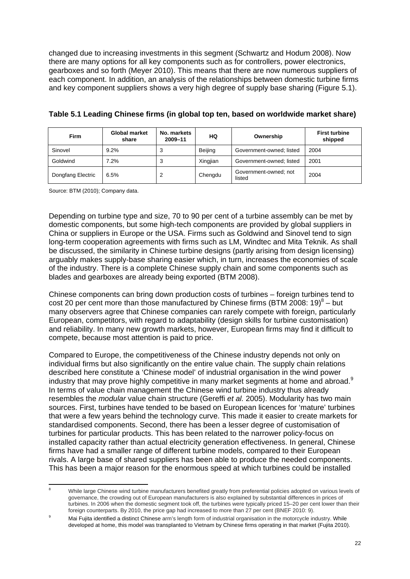changed due to increasing investments in this segment (Schwartz and Hodum 2008). Now there are many options for all key components such as for controllers, power electronics, gearboxes and so forth (Meyer 2010). This means that there are now numerous suppliers of each component. In addition, an analysis of the relationships between domestic turbine firms and key component suppliers shows a very high degree of supply base sharing (Figure 5.1).

| Firm              | <b>Global market</b><br>share | No. markets<br>2009-11 | HQ<br>Ownership |                                 | <b>First turbine</b><br>shipped |
|-------------------|-------------------------------|------------------------|-----------------|---------------------------------|---------------------------------|
| Sinovel           | 9.2%                          |                        | Beijing         | Government-owned; listed        | 2004                            |
| Goldwind          | 7.2%                          | P                      | Xingjian        | Government-owned; listed        | 2001                            |
| Dongfang Electric | 6.5%                          |                        | Chengdu         | Government-owned; not<br>listed | 2004                            |

| Table 5.1 Leading Chinese firms (in global top ten, based on worldwide market share) |  |  |  |  |
|--------------------------------------------------------------------------------------|--|--|--|--|
|                                                                                      |  |  |  |  |

Source: BTM (2010); Company data.

Depending on turbine type and size, 70 to 90 per cent of a turbine assembly can be met by domestic components, but some high-tech components are provided by global suppliers in China or suppliers in Europe or the USA. Firms such as Goldwind and Sinovel tend to sign long-term cooperation agreements with firms such as LM, Windtec and Mita Teknik. As shall be discussed, the similarity in Chinese turbine designs (partly arising from design licensing) arguably makes supply-base sharing easier which, in turn, increases the economies of scale of the industry. There is a complete Chinese supply chain and some components such as blades and gearboxes are already being exported (BTM 2008).

Chinese components can bring down production costs of turbines – foreign turbines tend to cost 20 per cent more than those manufactured by Chinese firms (BTM 2008: 19) $^8$  – but many observers agree that Chinese companies can rarely compete with foreign, particularly European, competitors, with regard to adaptability (design skills for turbine customisation) and reliability. In many new growth markets, however, European firms may find it difficult to compete, because most attention is paid to price.

Compared to Europe, the competitiveness of the Chinese industry depends not only on individual firms but also significantly on the entire value chain. The supply chain relations described here constitute a 'Chinese model' of industrial organisation in the wind power industry that may prove highly competitive in many market segments at home and abroad.<sup>9</sup> In terms of value chain management the Chinese wind turbine industry thus already resembles the *modular* value chain structure (Gereffi *et al.* 2005). Modularity has two main sources. First, turbines have tended to be based on European licences for 'mature' turbines that were a few years behind the technology curve. This made it easier to create markets for standardised components. Second, there has been a lesser degree of customisation of turbines for particular products. This has been related to the narrower policy-focus on installed capacity rather than actual electricity generation effectiveness. In general, Chinese firms have had a smaller range of different turbine models, compared to their European rivals. A large base of shared suppliers has been able to produce the needed components. This has been a major reason for the enormous speed at which turbines could be installed

 8 While large Chinese wind turbine manufacturers benefited greatly from preferential policies adopted on various levels of governance, the crowding out of European manufacturers is also explained by substantial differences in prices of turbines. In 2006 when the domestic segment took off, the turbines were typically priced 15–20 per cent lower than their foreign counterparts. By 2010, the price gap had increased to more than 27 per cent (BNEF 2010: 9).

 $\overline{9}$  Mai Fujita identified a distinct Chinese arm's length form of industrial organisation in the motorcycle industry. While developed at home, this model was transplanted to Vietnam by Chinese firms operating in that market (Fujita 2010).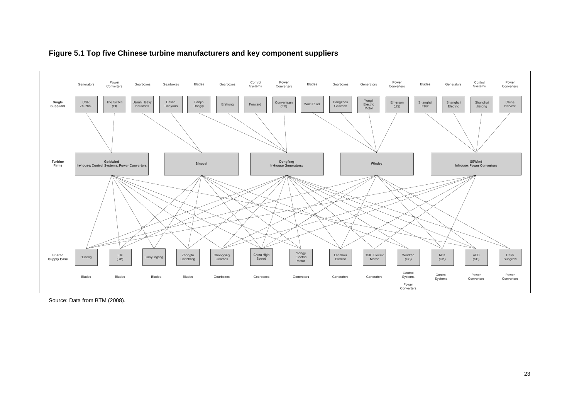



Source: Data from BTM (2008).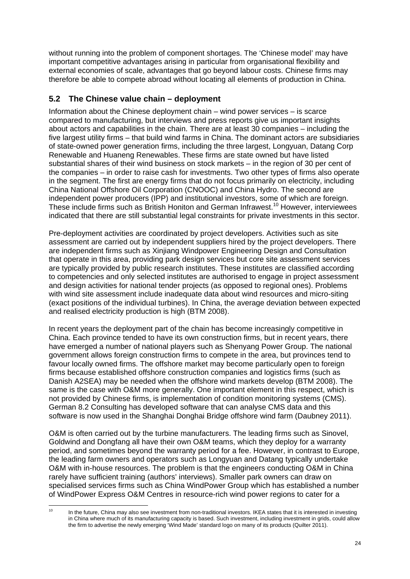without running into the problem of component shortages. The 'Chinese model' may have important competitive advantages arising in particular from organisational flexibility and external economies of scale, advantages that go beyond labour costs. Chinese firms may therefore be able to compete abroad without locating all elements of production in China.

### **5.2 The Chinese value chain – deployment**

Information about the Chinese deployment chain – wind power services – is scarce compared to manufacturing, but interviews and press reports give us important insights about actors and capabilities in the chain. There are at least 30 companies – including the five largest utility firms – that build wind farms in China. The dominant actors are subsidiaries of state-owned power generation firms, including the three largest, Longyuan, Datang Corp Renewable and Huaneng Renewables. These firms are state owned but have listed substantial shares of their wind business on stock markets – in the region of 30 per cent of the companies – in order to raise cash for investments. Two other types of firms also operate in the segment. The first are energy firms that do not focus primarily on electricity, including China National Offshore Oil Corporation (CNOOC) and China Hydro. The second are independent power producers (IPP) and institutional investors, some of which are foreign. These include firms such as British Honiton and German Infrawest.<sup>10</sup> However, interviewees indicated that there are still substantial legal constraints for private investments in this sector.

Pre-deployment activities are coordinated by project developers. Activities such as site assessment are carried out by independent suppliers hired by the project developers. There are independent firms such as Xinjiang Windpower Engineering Design and Consultation that operate in this area, providing park design services but core site assessment services are typically provided by public research institutes. These institutes are classified according to competencies and only selected institutes are authorised to engage in project assessment and design activities for national tender projects (as opposed to regional ones). Problems with wind site assessment include inadequate data about wind resources and micro-siting (exact positions of the individual turbines). In China, the average deviation between expected and realised electricity production is high (BTM 2008).

In recent years the deployment part of the chain has become increasingly competitive in China. Each province tended to have its own construction firms, but in recent years, there have emerged a number of national players such as Shenyang Power Group. The national government allows foreign construction firms to compete in the area, but provinces tend to favour locally owned firms. The offshore market may become particularly open to foreign firms because established offshore construction companies and logistics firms (such as Danish A2SEA) may be needed when the offshore wind markets develop (BTM 2008). The same is the case with O&M more generally. One important element in this respect, which is not provided by Chinese firms, is implementation of condition monitoring systems (CMS). German 8.2 Consulting has developed software that can analyse CMS data and this software is now used in the Shanghai Donghai Bridge offshore wind farm (Daubney 2011).

O&M is often carried out by the turbine manufacturers. The leading firms such as Sinovel, Goldwind and Dongfang all have their own O&M teams, which they deploy for a warranty period, and sometimes beyond the warranty period for a fee. However, in contrast to Europe, the leading farm owners and operators such as Longyuan and Datang typically undertake O&M with in-house resources. The problem is that the engineers conducting O&M in China rarely have sufficient training (authors' interviews). Smaller park owners can draw on specialised services firms such as China WindPower Group which has established a number of WindPower Express O&M Centres in resource-rich wind power regions to cater for a

<sup>&</sup>lt;sup>10</sup> In the future, China may also see investment from non-traditional investors. IKEA states that it is interested in investing in China where much of its manufacturing capacity is based. Such investment, including investment in grids, could allow the firm to advertise the newly emerging 'Wind Made' standard logo on many of its products (Quilter 2011).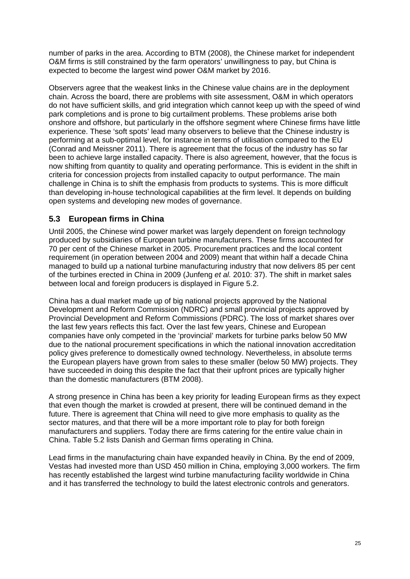number of parks in the area. According to BTM (2008), the Chinese market for independent O&M firms is still constrained by the farm operators' unwillingness to pay, but China is expected to become the largest wind power O&M market by 2016.

Observers agree that the weakest links in the Chinese value chains are in the deployment chain. Across the board, there are problems with site assessment, O&M in which operators do not have sufficient skills, and grid integration which cannot keep up with the speed of wind park completions and is prone to big curtailment problems. These problems arise both onshore and offshore, but particularly in the offshore segment where Chinese firms have little experience. These 'soft spots' lead many observers to believe that the Chinese industry is performing at a sub-optimal level, for instance in terms of utilisation compared to the EU (Conrad and Meissner 2011). There is agreement that the focus of the industry has so far been to achieve large installed capacity. There is also agreement, however, that the focus is now shifting from quantity to quality and operating performance. This is evident in the shift in criteria for concession projects from installed capacity to output performance. The main challenge in China is to shift the emphasis from products to systems. This is more difficult than developing in-house technological capabilities at the firm level. It depends on building open systems and developing new modes of governance.

## **5.3 European firms in China**

Until 2005, the Chinese wind power market was largely dependent on foreign technology produced by subsidiaries of European turbine manufacturers. These firms accounted for 70 per cent of the Chinese market in 2005. Procurement practices and the local content requirement (in operation between 2004 and 2009) meant that within half a decade China managed to build up a national turbine manufacturing industry that now delivers 85 per cent of the turbines erected in China in 2009 (Junfeng *et al.* 2010: 37). The shift in market sales between local and foreign producers is displayed in Figure 5.2.

China has a dual market made up of big national projects approved by the National Development and Reform Commission (NDRC) and small provincial projects approved by Provincial Development and Reform Commissions (PDRC). The loss of market shares over the last few years reflects this fact. Over the last few years, Chinese and European companies have only competed in the 'provincial' markets for turbine parks below 50 MW due to the national procurement specifications in which the national innovation accreditation policy gives preference to domestically owned technology. Nevertheless, in absolute terms the European players have grown from sales to these smaller (below 50 MW) projects. They have succeeded in doing this despite the fact that their upfront prices are typically higher than the domestic manufacturers (BTM 2008).

A strong presence in China has been a key priority for leading European firms as they expect that even though the market is crowded at present, there will be continued demand in the future. There is agreement that China will need to give more emphasis to quality as the sector matures, and that there will be a more important role to play for both foreign manufacturers and suppliers. Today there are firms catering for the entire value chain in China. Table 5.2 lists Danish and German firms operating in China.

Lead firms in the manufacturing chain have expanded heavily in China. By the end of 2009, Vestas had invested more than USD 450 million in China, employing 3,000 workers. The firm has recently established the largest wind turbine manufacturing facility worldwide in China and it has transferred the technology to build the latest electronic controls and generators.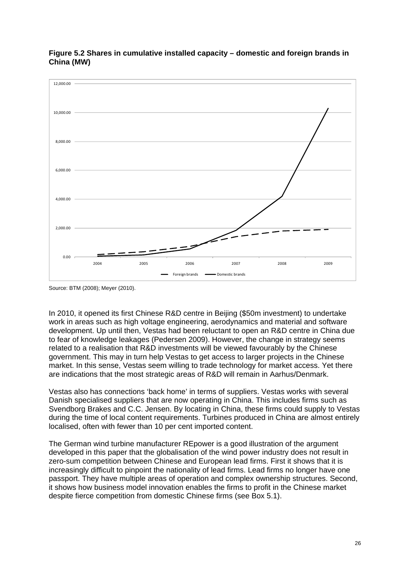

**Figure 5.2 Shares in cumulative installed capacity – domestic and foreign brands in China (MW)** 

Source: BTM (2008); Meyer (2010).

In 2010, it opened its first Chinese R&D centre in Beijing (\$50m investment) to undertake work in areas such as high voltage engineering, aerodynamics and material and software development. Up until then, Vestas had been reluctant to open an R&D centre in China due to fear of knowledge leakages (Pedersen 2009). However, the change in strategy seems related to a realisation that R&D investments will be viewed favourably by the Chinese government. This may in turn help Vestas to get access to larger projects in the Chinese market. In this sense, Vestas seem willing to trade technology for market access. Yet there are indications that the most strategic areas of R&D will remain in Aarhus/Denmark.

Vestas also has connections 'back home' in terms of suppliers. Vestas works with several Danish specialised suppliers that are now operating in China. This includes firms such as Svendborg Brakes and C.C. Jensen. By locating in China, these firms could supply to Vestas during the time of local content requirements. Turbines produced in China are almost entirely localised, often with fewer than 10 per cent imported content.

The German wind turbine manufacturer REpower is a good illustration of the argument developed in this paper that the globalisation of the wind power industry does not result in zero-sum competition between Chinese and European lead firms. First it shows that it is increasingly difficult to pinpoint the nationality of lead firms. Lead firms no longer have one passport. They have multiple areas of operation and complex ownership structures. Second, it shows how business model innovation enables the firms to profit in the Chinese market despite fierce competition from domestic Chinese firms (see Box 5.1).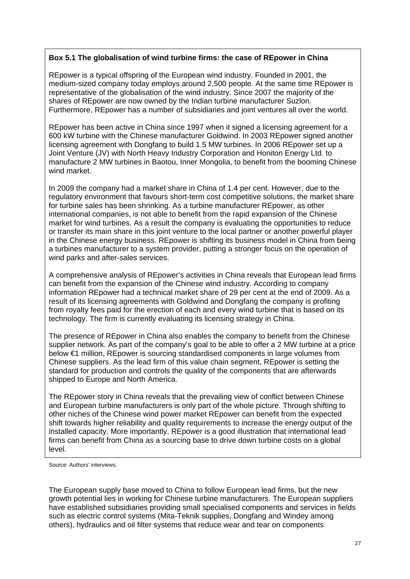#### **Box 5.1 The globalisation of wind turbine firms: the case of REpower in China**

REpower is a typical offspring of the European wind industry. Founded in 2001, the medium-sized company today employs around 2,500 people. At the same time REpower is representative of the globalisation of the wind industry. Since 2007 the majority of the shares of REpower are now owned by the Indian turbine manufacturer Suzlon. Furthermore, REpower has a number of subsidiaries and joint ventures all over the world.

REpower has been active in China since 1997 when it signed a licensing agreement for a 600 kW turbine with the Chinese manufacturer Goldwind. In 2003 REpower signed another licensing agreement with Dongfang to build 1.5 MW turbines. In 2006 REpower set up a Joint Venture (JV) with North Heavy Industry Corporation and Honiton Energy Ltd. to manufacture 2 MW turbines in Baotou, Inner Mongolia, to benefit from the booming Chinese wind market.

In 2009 the company had a market share in China of 1.4 per cent. However, due to the regulatory environment that favours short-term cost competitive solutions, the market share for turbine sales has been shrinking. As a turbine manufacturer REpower, as other international companies, is not able to benefit from the rapid expansion of the Chinese market for wind turbines. As a result the company is evaluating the opportunities to reduce or transfer its main share in this joint venture to the local partner or another powerful player in the Chinese energy business. REpower is shifting its business model in China from being a turbines manufacturer to a system provider, putting a stronger focus on the operation of wind parks and after-sales services.

A comprehensive analysis of REpower's activities in China reveals that European lead firms can benefit from the expansion of the Chinese wind industry. According to company information REpower had a technical market share of 29 per cent at the end of 2009. As a result of its licensing agreements with Goldwind and Dongfang the company is profiting from royalty fees paid for the erection of each and every wind turbine that is based on its technology. The firm is currently evaluating its licensing strategy in China.

The presence of REpower in China also enables the company to benefit from the Chinese supplier network. As part of the company's goal to be able to offer a 2 MW turbine at a price below €1 million, REpower is sourcing standardised components in large volumes from Chinese suppliers. As the lead firm of this value chain segment, REpower is setting the standard for production and controls the quality of the components that are afterwards shipped to Europe and North America.

The REpower story in China reveals that the prevailing view of conflict between Chinese and European turbine manufacturers is only part of the whole picture. Through shifting to other niches of the Chinese wind power market REpower can benefit from the expected shift towards higher reliability and quality requirements to increase the energy output of the installed capacity. More importantly, REpower is a good illustration that international lead firms can benefit from China as a sourcing base to drive down turbine costs on a global level.

Source: Authors' interviews.

The European supply base moved to China to follow European lead firms, but the new growth potential lies in working for Chinese turbine manufacturers. The European suppliers have established subsidiaries providing small specialised components and services in fields such as electric control systems (Mita-Teknik supplies, Dongfang and Windey among others), hydraulics and oil filter systems that reduce wear and tear on components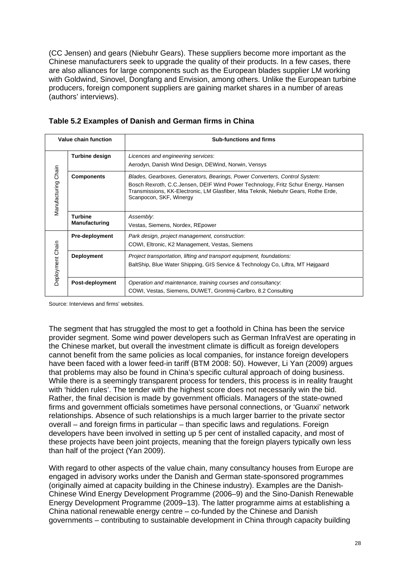(CC Jensen) and gears (Niebuhr Gears). These suppliers become more important as the Chinese manufacturers seek to upgrade the quality of their products. In a few cases, there are also alliances for large components such as the European blades supplier LM working with Goldwind, Sinovel, Dongfang and Envision, among others. Unlike the European turbine producers, foreign component suppliers are gaining market shares in a number of areas (authors' interviews).

| Value chain function |                                                                                                                                                   | <b>Sub-functions and firms</b>                                                                                                                                                                                                                                                     |  |  |  |  |
|----------------------|---------------------------------------------------------------------------------------------------------------------------------------------------|------------------------------------------------------------------------------------------------------------------------------------------------------------------------------------------------------------------------------------------------------------------------------------|--|--|--|--|
|                      | Turbine design                                                                                                                                    | Licences and engineering services:<br>Aerodyn, Danish Wind Design, DEWind, Norwin, Vensys                                                                                                                                                                                          |  |  |  |  |
| Manufacturing Chain  | <b>Components</b>                                                                                                                                 | Blades, Gearboxes, Generators, Bearings, Power Converters, Control System:<br>Bosch Rexroth, C.C. Jensen, DEIF Wind Power Technology, Fritz Schur Energy, Hansen<br>Transmissions, KK-Electronic, LM Glasfiber, Mita Teknik, Niebuhr Gears, Rothe Erde,<br>Scanpocon, SKF, Winergy |  |  |  |  |
|                      | <b>Turbine</b><br><b>Manufacturing</b>                                                                                                            | Assembly:<br>Vestas, Siemens, Nordex, REpower                                                                                                                                                                                                                                      |  |  |  |  |
|                      | Pre-deployment<br>Park design, project management, construction:<br>COWI, Eltronic, K2 Management, Vestas, Siemens                                |                                                                                                                                                                                                                                                                                    |  |  |  |  |
| Deployment Chain     | <b>Deployment</b>                                                                                                                                 | Project transportation, lifting and transport equipment, foundations:<br>BaltShip, Blue Water Shipping, GIS Service & Technology Co, Liftra, MT Højgaard                                                                                                                           |  |  |  |  |
|                      | Post-deployment<br>Operation and maintenance, training courses and consultancy.<br>COWI, Vestas, Siemens, DUWET, Grontmij-Carlbro, 8.2 Consulting |                                                                                                                                                                                                                                                                                    |  |  |  |  |

Source: Interviews and firms' websites.

The segment that has struggled the most to get a foothold in China has been the service provider segment. Some wind power developers such as German InfraVest are operating in the Chinese market, but overall the investment climate is difficult as foreign developers cannot benefit from the same policies as local companies, for instance foreign developers have been faced with a lower feed-in tariff (BTM 2008: 50). However, Li Yan (2009) argues that problems may also be found in China's specific cultural approach of doing business. While there is a seemingly transparent process for tenders, this process is in reality fraught with 'hidden rules'. The tender with the highest score does not necessarily win the bid. Rather, the final decision is made by government officials. Managers of the state-owned firms and government officials sometimes have personal connections, or 'Guanxi' network relationships. Absence of such relationships is a much larger barrier to the private sector overall – and foreign firms in particular – than specific laws and regulations. Foreign developers have been involved in setting up 5 per cent of installed capacity, and most of these projects have been joint projects, meaning that the foreign players typically own less than half of the project (Yan 2009).

With regard to other aspects of the value chain, many consultancy houses from Europe are engaged in advisory works under the Danish and German state-sponsored programmes (originally aimed at capacity building in the Chinese industry). Examples are the Danish-Chinese Wind Energy Development Programme (2006–9) and the Sino-Danish Renewable Energy Development Programme (2009–13). The latter programme aims at establishing a China national renewable energy centre – co-funded by the Chinese and Danish governments – contributing to sustainable development in China through capacity building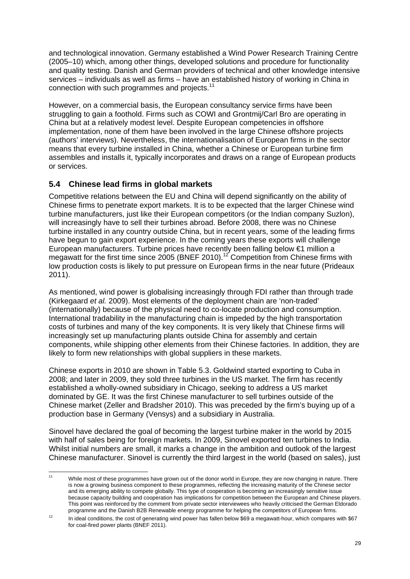and technological innovation. Germany established a Wind Power Research Training Centre (2005–10) which, among other things, developed solutions and procedure for functionality and quality testing. Danish and German providers of technical and other knowledge intensive services – individuals as well as firms – have an established history of working in China in connection with such programmes and projects.<sup>11</sup>

However, on a commercial basis, the European consultancy service firms have been struggling to gain a foothold. Firms such as COWI and Grontmij/Carl Bro are operating in China but at a relatively modest level. Despite European competencies in offshore implementation, none of them have been involved in the large Chinese offshore projects (authors' interviews). Nevertheless, the internationalisation of European firms in the sector means that every turbine installed in China, whether a Chinese or European turbine firm assembles and installs it, typically incorporates and draws on a range of European products or services.

### **5.4 Chinese lead firms in global markets**

Competitive relations between the EU and China will depend significantly on the ability of Chinese firms to penetrate export markets. It is to be expected that the larger Chinese wind turbine manufacturers, just like their European competitors (or the Indian company Suzlon), will increasingly have to sell their turbines abroad. Before 2008, there was no Chinese turbine installed in any country outside China, but in recent years, some of the leading firms have begun to gain export experience. In the coming years these exports will challenge European manufacturers. Turbine prices have recently been falling below €1 million a megawatt for the first time since 2005 (BNEF 2010).<sup>12</sup> Competition from Chinese firms with low production costs is likely to put pressure on European firms in the near future (Prideaux 2011).

As mentioned, wind power is globalising increasingly through FDI rather than through trade (Kirkegaard *et al.* 2009). Most elements of the deployment chain are 'non-traded' (internationally) because of the physical need to co-locate production and consumption. International tradability in the manufacturing chain is impeded by the high transportation costs of turbines and many of the key components. It is very likely that Chinese firms will increasingly set up manufacturing plants outside China for assembly and certain components, while shipping other elements from their Chinese factories. In addition, they are likely to form new relationships with global suppliers in these markets.

Chinese exports in 2010 are shown in Table 5.3. Goldwind started exporting to Cuba in 2008; and later in 2009, they sold three turbines in the US market. The firm has recently established a wholly-owned subsidiary in Chicago, seeking to address a US market dominated by GE. It was the first Chinese manufacturer to sell turbines outside of the Chinese market (Zeller and Bradsher 2010). This was preceded by the firm's buying up of a production base in Germany (Vensys) and a subsidiary in Australia.

Sinovel have declared the goal of becoming the largest turbine maker in the world by 2015 with half of sales being for foreign markets. In 2009, Sinovel exported ten turbines to India. Whilst initial numbers are small, it marks a change in the ambition and outlook of the largest Chinese manufacturer. Sinovel is currently the third largest in the world (based on sales), just

 <sup>11</sup> While most of these programmes have grown out of the donor world in Europe, they are now changing in nature. There is now a growing business component to these programmes, reflecting the increasing maturity of the Chinese sector and its emerging ability to compete globally. This type of cooperation is becoming an increasingly sensitive issue because capacity building and cooperation has implications for competition between the European and Chinese players. This point was reinforced by the comment from private sector interviewees who heavily criticised the German Eldorado programme and the Danish B2B Renewable energy programme for helping the competitors of European firms.

<sup>&</sup>lt;sup>12</sup> In ideal conditions, the cost of generating wind power has fallen below \$69 a megawatt-hour, which compares with \$67 for coal-fired power plants (BNEF 2011).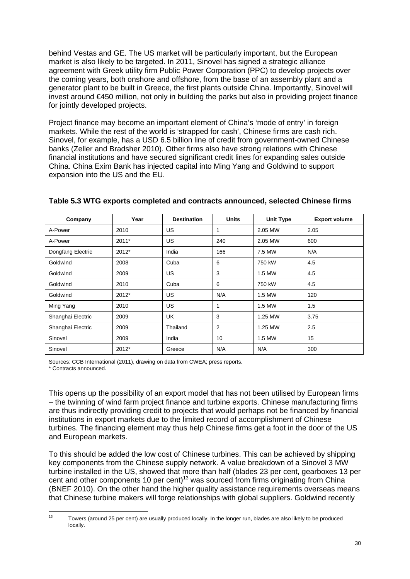behind Vestas and GE. The US market will be particularly important, but the European market is also likely to be targeted. In 2011, Sinovel has signed a strategic alliance agreement with Greek utility firm Public Power Corporation (PPC) to develop projects over the coming years, both onshore and offshore, from the base of an assembly plant and a generator plant to be built in Greece, the first plants outside China. Importantly, Sinovel will invest around €450 million, not only in building the parks but also in providing project finance for jointly developed projects.

Project finance may become an important element of China's 'mode of entry' in foreign markets. While the rest of the world is 'strapped for cash', Chinese firms are cash rich. Sinovel, for example, has a USD 6.5 billion line of credit from government-owned Chinese banks (Zeller and Bradsher 2010). Other firms also have strong relations with Chinese financial institutions and have secured significant credit lines for expanding sales outside China. China Exim Bank has injected capital into Ming Yang and Goldwind to support expansion into the US and the EU.

| Company           | Year  | <b>Destination</b> | <b>Units</b> | <b>Unit Type</b> | <b>Export volume</b> |
|-------------------|-------|--------------------|--------------|------------------|----------------------|
| A-Power           | 2010  | <b>US</b>          | 1            | 2.05 MW          | 2.05                 |
| A-Power           | 2011* | US.                | 240          | 2.05 MW          | 600                  |
| Dongfang Electric | 2012* | India              | 166          | 7.5 MW           | N/A                  |
| Goldwind          | 2008  | Cuba               | 6            | 750 kW           | 4.5                  |
| Goldwind          | 2009  | US.                | 3            | 1.5 MW           | 4.5                  |
| Goldwind          | 2010  | Cuba               | 6            | 750 kW           | 4.5                  |
| Goldwind          | 2012* | US.                | N/A          | 1.5 MW           | 120                  |
| Ming Yang         | 2010  | US.                | 1            | 1.5 MW           | 1.5                  |
| Shanghai Electric | 2009  | <b>UK</b>          | 3            | 1.25 MW          | 3.75                 |
| Shanghai Electric | 2009  | Thailand           | 2            | 1.25 MW          | 2.5                  |
| Sinovel           | 2009  | India              | 10           | 1.5 MW           | 15                   |
| Sinovel           | 2012* | Greece             | N/A          | N/A              | 300                  |

#### **Table 5.3 WTG exports completed and contracts announced, selected Chinese firms**

Sources: CCB International (2011), drawing on data from CWEA; press reports.

\* Contracts announced.

This opens up the possibility of an export model that has not been utilised by European firms – the twinning of wind farm project finance and turbine exports. Chinese manufacturing firms are thus indirectly providing credit to projects that would perhaps not be financed by financial institutions in export markets due to the limited record of accomplishment of Chinese turbines. The financing element may thus help Chinese firms get a foot in the door of the US and European markets.

To this should be added the low cost of Chinese turbines. This can be achieved by shipping key components from the Chinese supply network. A value breakdown of a Sinovel 3 MW turbine installed in the US, showed that more than half (blades 23 per cent, gearboxes 13 per cent and other components 10 per cent)<sup>13</sup> was sourced from firms originating from China (BNEF 2010). On the other hand the higher quality assistance requirements overseas means that Chinese turbine makers will forge relationships with global suppliers. Goldwind recently

  $\frac{13}{13}$  Towers (around 25 per cent) are usually produced locally. In the longer run, blades are also likely to be produced locally.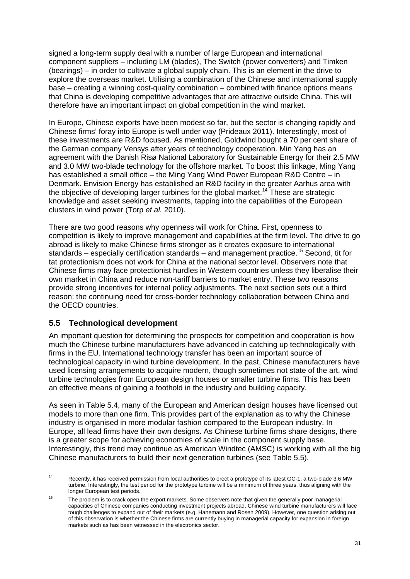signed a long-term supply deal with a number of large European and international component suppliers – including LM (blades), The Switch (power converters) and Timken (bearings) – in order to cultivate a global supply chain. This is an element in the drive to explore the overseas market. Utilising a combination of the Chinese and international supply base – creating a winning cost-quality combination – combined with finance options means that China is developing competitive advantages that are attractive outside China. This will therefore have an important impact on global competition in the wind market.

In Europe, Chinese exports have been modest so far, but the sector is changing rapidly and Chinese firms' foray into Europe is well under way (Prideaux 2011). Interestingly, most of these investments are R&D focused. As mentioned, Goldwind bought a 70 per cent share of the German company Vensys after years of technology cooperation. Min Yang has an agreement with the Danish Risø National Laboratory for Sustainable Energy for their 2.5 MW and 3.0 MW two-blade technology for the offshore market. To boost this linkage, Ming Yang has established a small office – the Ming Yang Wind Power European R&D Centre – in Denmark. Envision Energy has established an R&D facility in the greater Aarhus area with the objective of developing larger turbines for the global market.<sup>14</sup> These are strategic knowledge and asset seeking investments, tapping into the capabilities of the European clusters in wind power (Torp *et al.* 2010).

There are two good reasons why openness will work for China. First, openness to competition is likely to improve management and capabilities at the firm level. The drive to go abroad is likely to make Chinese firms stronger as it creates exposure to international standards – especially certification standards – and management practice.<sup>15</sup> Second, tit for tat protectionism does not work for China at the national sector level. Observers note that Chinese firms may face protectionist hurdles in Western countries unless they liberalise their own market in China and reduce non-tariff barriers to market entry. These two reasons provide strong incentives for internal policy adjustments. The next section sets out a third reason: the continuing need for cross-border technology collaboration between China and the OECD countries.

#### **5.5 Technological development**

An important question for determining the prospects for competition and cooperation is how much the Chinese turbine manufacturers have advanced in catching up technologically with firms in the EU. International technology transfer has been an important source of technological capacity in wind turbine development. In the past, Chinese manufacturers have used licensing arrangements to acquire modern, though sometimes not state of the art, wind turbine technologies from European design houses or smaller turbine firms. This has been an effective means of gaining a foothold in the industry and building capacity.

As seen in Table 5.4, many of the European and American design houses have licensed out models to more than one firm. This provides part of the explanation as to why the Chinese industry is organised in more modular fashion compared to the European industry. In Europe, all lead firms have their own designs. As Chinese turbine firms share designs, there is a greater scope for achieving economies of scale in the component supply base. Interestingly, this trend may continue as American Windtec (AMSC) is working with all the big Chinese manufacturers to build their next generation turbines (see Table 5.5).

 14 Recently, it has received permission from local authorities to erect a prototype of its latest GC-1, a two-blade 3.6 MW turbine. Interestingly, the test period for the prototype turbine will be a minimum of three years, thus aligning with the longer European test periods.

<sup>&</sup>lt;sup>15</sup> The problem is to crack open the export markets. Some observers note that given the generally poor managerial capacities of Chinese companies conducting investment projects abroad, Chinese wind turbine manufacturers will face tough challenges to expand out of their markets (e.g. Hanemann and Rosen 2009). However, one question arising out of this observation is whether the Chinese firms are currently buying in managerial capacity for expansion in foreign markets such as has been witnessed in the electronics sector.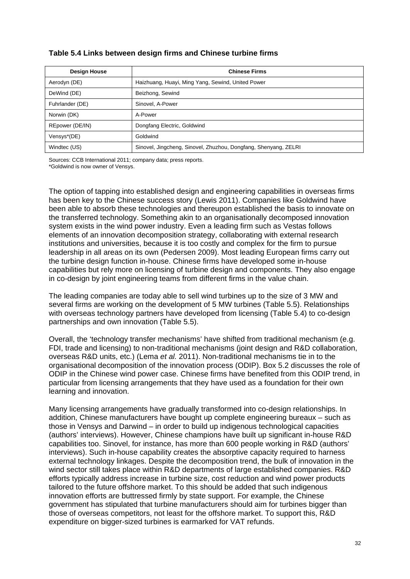| <b>Design House</b> | <b>Chinese Firms</b>                                            |  |  |
|---------------------|-----------------------------------------------------------------|--|--|
| Aerodyn (DE)        | Haizhuang, Huayi, Ming Yang, Sewind, United Power               |  |  |
| DeWind (DE)         | Beizhong, Sewind                                                |  |  |
| Fuhrlander (DE)     | Sinovel, A-Power                                                |  |  |
| Norwin (DK)         | A-Power                                                         |  |  |
| REpower (DE/IN)     | Dongfang Electric, Goldwind                                     |  |  |
| Vensys*(DE)         | Goldwind                                                        |  |  |
| Windtec (US)        | Sinovel, Jingcheng, Sinovel, Zhuzhou, Dongfang, Shenyang, ZELRI |  |  |

#### **Table 5.4 Links between design firms and Chinese turbine firms**

Sources: CCB International 2011; company data; press reports. \*Goldwind is now owner of Vensys.

The option of tapping into established design and engineering capabilities in overseas firms has been key to the Chinese success story (Lewis 2011). Companies like Goldwind have been able to absorb these technologies and thereupon established the basis to innovate on the transferred technology. Something akin to an organisationally decomposed innovation system exists in the wind power industry. Even a leading firm such as Vestas follows elements of an innovation decomposition strategy, collaborating with external research institutions and universities, because it is too costly and complex for the firm to pursue leadership in all areas on its own (Pedersen 2009). Most leading European firms carry out the turbine design function in-house. Chinese firms have developed some in-house capabilities but rely more on licensing of turbine design and components. They also engage in co-design by joint engineering teams from different firms in the value chain.

The leading companies are today able to sell wind turbines up to the size of 3 MW and several firms are working on the development of 5 MW turbines (Table 5.5). Relationships with overseas technology partners have developed from licensing (Table 5.4) to co-design partnerships and own innovation (Table 5.5).

Overall, the 'technology transfer mechanisms' have shifted from traditional mechanism (e.g. FDI, trade and licensing) to non-traditional mechanisms (joint design and R&D collaboration, overseas R&D units, etc.) (Lema *et al.* 2011). Non-traditional mechanisms tie in to the organisational decomposition of the innovation process (ODIP). Box 5.2 discusses the role of ODIP in the Chinese wind power case. Chinese firms have benefited from this ODIP trend, in particular from licensing arrangements that they have used as a foundation for their own learning and innovation.

Many licensing arrangements have gradually transformed into co-design relationships. In addition, Chinese manufacturers have bought up complete engineering bureaux – such as those in Vensys and Darwind – in order to build up indigenous technological capacities (authors' interviews). However, Chinese champions have built up significant in-house R&D capabilities too. Sinovel, for instance, has more than 600 people working in R&D (authors' interviews). Such in-house capability creates the absorptive capacity required to harness external technology linkages. Despite the decomposition trend, the bulk of innovation in the wind sector still takes place within R&D departments of large established companies. R&D efforts typically address increase in turbine size, cost reduction and wind power products tailored to the future offshore market. To this should be added that such indigenous innovation efforts are buttressed firmly by state support. For example, the Chinese government has stipulated that turbine manufacturers should aim for turbines bigger than those of overseas competitors, not least for the offshore market. To support this, R&D expenditure on bigger-sized turbines is earmarked for VAT refunds.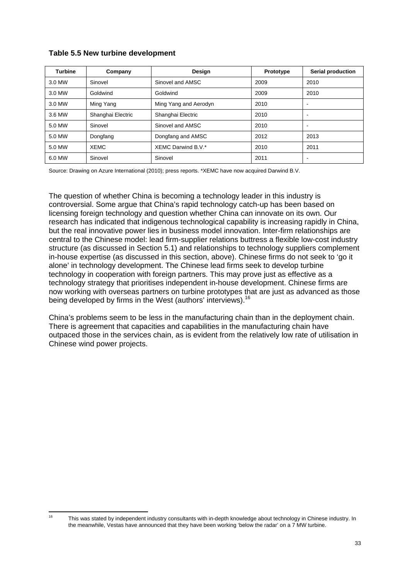| <b>Turbine</b> | Company           | Design                | Prototype | Serial production |
|----------------|-------------------|-----------------------|-----------|-------------------|
| 3.0 MW         | Sinovel           | Sinovel and AMSC      | 2009      | 2010              |
| 3.0 MW         | Goldwind          | Goldwind              | 2009      | 2010              |
| 3.0 MW         | Ming Yang         | Ming Yang and Aerodyn | 2010      |                   |
| 3.6 MW         | Shanghai Electric | Shanghai Electric     | 2010      |                   |
| 5.0 MW         | Sinovel           | Sinovel and AMSC      | 2010      |                   |
| 5.0 MW         | Dongfang          | Dongfang and AMSC     | 2012      | 2013              |
| 5.0 MW         | <b>XEMC</b>       | XEMC Darwind B.V.*    | 2010      | 2011              |
| 6.0 MW         | Sinovel           | Sinovel               | 2011      |                   |

#### **Table 5.5 New turbine development**

Source: Drawing on Azure International (2010); press reports. \*XEMC have now acquired Darwind B.V.

The question of whether China is becoming a technology leader in this industry is controversial. Some argue that China's rapid technology catch-up has been based on licensing foreign technology and question whether China can innovate on its own. Our research has indicated that indigenous technological capability is increasing rapidly in China, but the real innovative power lies in business model innovation. Inter-firm relationships are central to the Chinese model: lead firm-supplier relations buttress a flexible low-cost industry structure (as discussed in Section 5.1) and relationships to technology suppliers complement in-house expertise (as discussed in this section, above). Chinese firms do not seek to 'go it alone' in technology development. The Chinese lead firms seek to develop turbine technology in cooperation with foreign partners. This may prove just as effective as a technology strategy that prioritises independent in-house development. Chinese firms are now working with overseas partners on turbine prototypes that are just as advanced as those being developed by firms in the West (authors' interviews).<sup>16</sup>

China's problems seem to be less in the manufacturing chain than in the deployment chain. There is agreement that capacities and capabilities in the manufacturing chain have outpaced those in the services chain, as is evident from the relatively low rate of utilisation in Chinese wind power projects.

<sup>&</sup>lt;sup>16</sup> This was stated by independent industry consultants with in-depth knowledge about technology in Chinese industry. In the meanwhile, Vestas have announced that they have been working 'below the radar' on a 7 MW turbine.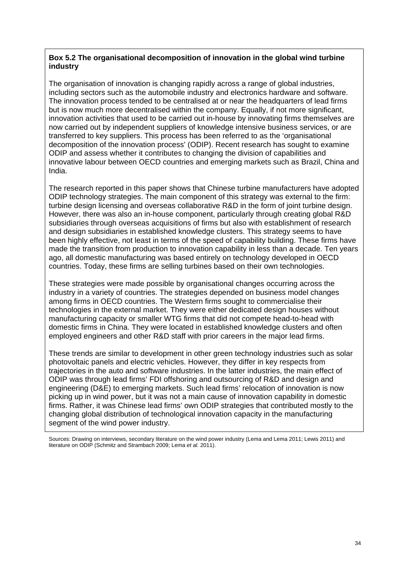#### **Box 5.2 The organisational decomposition of innovation in the global wind turbine industry**

The organisation of innovation is changing rapidly across a range of global industries, including sectors such as the automobile industry and electronics hardware and software. The innovation process tended to be centralised at or near the headquarters of lead firms but is now much more decentralised within the company. Equally, if not more significant, innovation activities that used to be carried out in-house by innovating firms themselves are now carried out by independent suppliers of knowledge intensive business services, or are transferred to key suppliers. This process has been referred to as the 'organisational decomposition of the innovation process' (ODIP). Recent research has sought to examine ODIP and assess whether it contributes to changing the division of capabilities and innovative labour between OECD countries and emerging markets such as Brazil, China and India.

The research reported in this paper shows that Chinese turbine manufacturers have adopted ODIP technology strategies. The main component of this strategy was external to the firm: turbine design licensing and overseas collaborative R&D in the form of joint turbine design. However, there was also an in-house component, particularly through creating global R&D subsidiaries through overseas acquisitions of firms but also with establishment of research and design subsidiaries in established knowledge clusters. This strategy seems to have been highly effective, not least in terms of the speed of capability building. These firms have made the transition from production to innovation capability in less than a decade. Ten years ago, all domestic manufacturing was based entirely on technology developed in OECD countries. Today, these firms are selling turbines based on their own technologies.

These strategies were made possible by organisational changes occurring across the industry in a variety of countries. The strategies depended on business model changes among firms in OECD countries. The Western firms sought to commercialise their technologies in the external market. They were either dedicated design houses without manufacturing capacity or smaller WTG firms that did not compete head-to-head with domestic firms in China. They were located in established knowledge clusters and often employed engineers and other R&D staff with prior careers in the major lead firms.

These trends are similar to development in other green technology industries such as solar photovoltaic panels and electric vehicles. However, they differ in key respects from trajectories in the auto and software industries. In the latter industries, the main effect of ODIP was through lead firms' FDI offshoring and outsourcing of R&D and design and engineering (D&E) to emerging markets. Such lead firms' relocation of innovation is now picking up in wind power, but it was not a main cause of innovation capability in domestic firms. Rather, it was Chinese lead firms' own ODIP strategies that contributed mostly to the changing global distribution of technological innovation capacity in the manufacturing segment of the wind power industry.

Sources: Drawing on interviews, secondary literature on the wind power industry (Lema and Lema 2011; Lewis 2011) and literature on ODIP (Schmitz and Strambach 2009; Lema *et al.* 2011).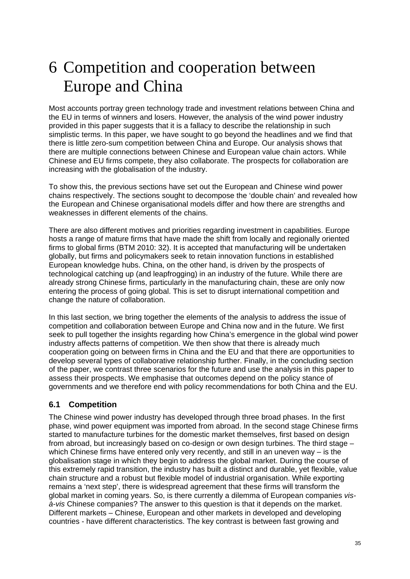## 6 Competition and cooperation between Europe and China

Most accounts portray green technology trade and investment relations between China and the EU in terms of winners and losers. However, the analysis of the wind power industry provided in this paper suggests that it is a fallacy to describe the relationship in such simplistic terms. In this paper, we have sought to go beyond the headlines and we find that there is little zero-sum competition between China and Europe. Our analysis shows that there are multiple connections between Chinese and European value chain actors. While Chinese and EU firms compete, they also collaborate. The prospects for collaboration are increasing with the globalisation of the industry.

To show this, the previous sections have set out the European and Chinese wind power chains respectively. The sections sought to decompose the 'double chain' and revealed how the European and Chinese organisational models differ and how there are strengths and weaknesses in different elements of the chains.

There are also different motives and priorities regarding investment in capabilities. Europe hosts a range of mature firms that have made the shift from locally and regionally oriented firms to global firms (BTM 2010: 32). It is accepted that manufacturing will be undertaken globally, but firms and policymakers seek to retain innovation functions in established European knowledge hubs. China, on the other hand, is driven by the prospects of technological catching up (and leapfrogging) in an industry of the future. While there are already strong Chinese firms, particularly in the manufacturing chain, these are only now entering the process of going global. This is set to disrupt international competition and change the nature of collaboration.

In this last section, we bring together the elements of the analysis to address the issue of competition and collaboration between Europe and China now and in the future. We first seek to pull together the insights regarding how China's emergence in the global wind power industry affects patterns of competition. We then show that there is already much cooperation going on between firms in China and the EU and that there are opportunities to develop several types of collaborative relationship further. Finally, in the concluding section of the paper, we contrast three scenarios for the future and use the analysis in this paper to assess their prospects. We emphasise that outcomes depend on the policy stance of governments and we therefore end with policy recommendations for both China and the EU.

### **6.1 Competition**

The Chinese wind power industry has developed through three broad phases. In the first phase, wind power equipment was imported from abroad. In the second stage Chinese firms started to manufacture turbines for the domestic market themselves, first based on design from abroad, but increasingly based on co-design or own design turbines. The third stage – which Chinese firms have entered only very recently, and still in an uneven way  $-$  is the globalisation stage in which they begin to address the global market. During the course of this extremely rapid transition, the industry has built a distinct and durable, yet flexible, value chain structure and a robust but flexible model of industrial organisation. While exporting remains a 'next step', there is widespread agreement that these firms will transform the global market in coming years. So, is there currently a dilemma of European companies *visà-vis* Chinese companies? The answer to this question is that it depends on the market. Different markets – Chinese, European and other markets in developed and developing countries - have different characteristics. The key contrast is between fast growing and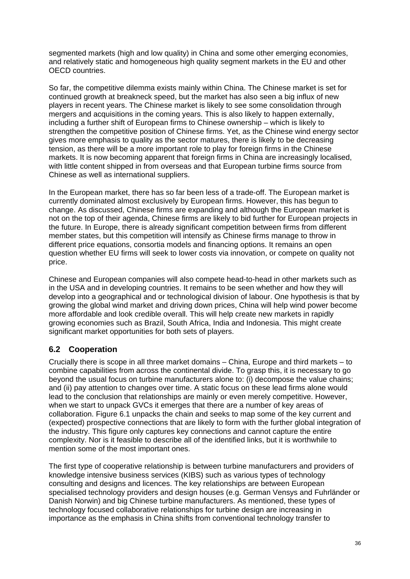segmented markets (high and low quality) in China and some other emerging economies, and relatively static and homogeneous high quality segment markets in the EU and other OECD countries.

So far, the competitive dilemma exists mainly within China. The Chinese market is set for continued growth at breakneck speed, but the market has also seen a big influx of new players in recent years. The Chinese market is likely to see some consolidation through mergers and acquisitions in the coming years. This is also likely to happen externally, including a further shift of European firms to Chinese ownership – which is likely to strengthen the competitive position of Chinese firms. Yet, as the Chinese wind energy sector gives more emphasis to quality as the sector matures, there is likely to be decreasing tension, as there will be a more important role to play for foreign firms in the Chinese markets. It is now becoming apparent that foreign firms in China are increasingly localised, with little content shipped in from overseas and that European turbine firms source from Chinese as well as international suppliers.

In the European market, there has so far been less of a trade-off. The European market is currently dominated almost exclusively by European firms. However, this has begun to change. As discussed, Chinese firms are expanding and although the European market is not on the top of their agenda, Chinese firms are likely to bid further for European projects in the future. In Europe, there is already significant competition between firms from different member states, but this competition will intensify as Chinese firms manage to throw in different price equations, consortia models and financing options. It remains an open question whether EU firms will seek to lower costs via innovation, or compete on quality not price.

Chinese and European companies will also compete head-to-head in other markets such as in the USA and in developing countries. It remains to be seen whether and how they will develop into a geographical and or technological division of labour. One hypothesis is that by growing the global wind market and driving down prices, China will help wind power become more affordable and look credible overall. This will help create new markets in rapidly growing economies such as Brazil, South Africa, India and Indonesia. This might create significant market opportunities for both sets of players.

### **6.2 Cooperation**

Crucially there is scope in all three market domains – China, Europe and third markets – to combine capabilities from across the continental divide. To grasp this, it is necessary to go beyond the usual focus on turbine manufacturers alone to: (i) decompose the value chains; and (ii) pay attention to changes over time. A static focus on these lead firms alone would lead to the conclusion that relationships are mainly or even merely competitive. However, when we start to unpack GVCs it emerges that there are a number of key areas of collaboration. Figure 6.1 unpacks the chain and seeks to map some of the key current and (expected) prospective connections that are likely to form with the further global integration of the industry. This figure only captures key connections and cannot capture the entire complexity. Nor is it feasible to describe all of the identified links, but it is worthwhile to mention some of the most important ones.

The first type of cooperative relationship is between turbine manufacturers and providers of knowledge intensive business services (KIBS) such as various types of technology consulting and designs and licences. The key relationships are between European specialised technology providers and design houses (e.g. German Vensys and Fuhrländer or Danish Norwin) and big Chinese turbine manufacturers. As mentioned, these types of technology focused collaborative relationships for turbine design are increasing in importance as the emphasis in China shifts from conventional technology transfer to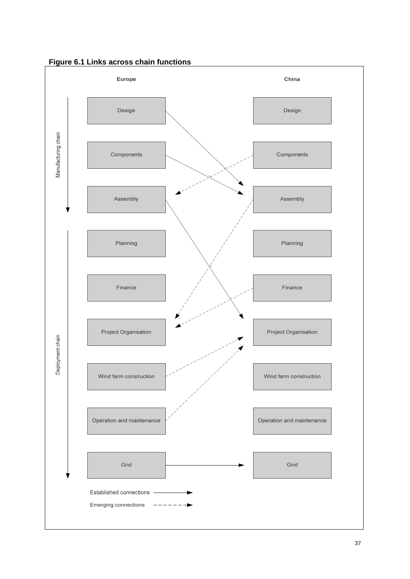

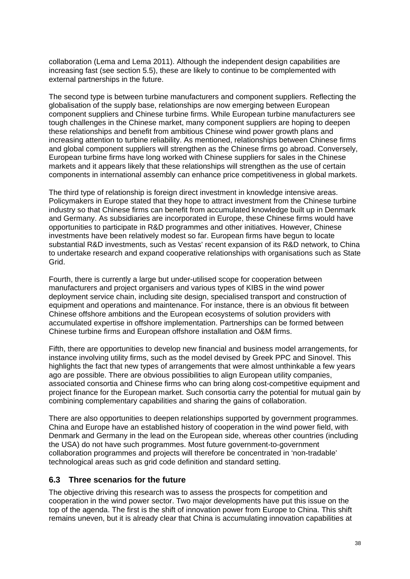collaboration (Lema and Lema 2011). Although the independent design capabilities are increasing fast (see section 5.5), these are likely to continue to be complemented with external partnerships in the future.

The second type is between turbine manufacturers and component suppliers. Reflecting the globalisation of the supply base, relationships are now emerging between European component suppliers and Chinese turbine firms. While European turbine manufacturers see tough challenges in the Chinese market, many component suppliers are hoping to deepen these relationships and benefit from ambitious Chinese wind power growth plans and increasing attention to turbine reliability. As mentioned, relationships between Chinese firms and global component suppliers will strengthen as the Chinese firms go abroad. Conversely, European turbine firms have long worked with Chinese suppliers for sales in the Chinese markets and it appears likely that these relationships will strengthen as the use of certain components in international assembly can enhance price competitiveness in global markets.

The third type of relationship is foreign direct investment in knowledge intensive areas. Policymakers in Europe stated that they hope to attract investment from the Chinese turbine industry so that Chinese firms can benefit from accumulated knowledge built up in Denmark and Germany. As subsidiaries are incorporated in Europe, these Chinese firms would have opportunities to participate in R&D programmes and other initiatives. However, Chinese investments have been relatively modest so far. European firms have begun to locate substantial R&D investments, such as Vestas' recent expansion of its R&D network, to China to undertake research and expand cooperative relationships with organisations such as State Grid.

Fourth, there is currently a large but under-utilised scope for cooperation between manufacturers and project organisers and various types of KIBS in the wind power deployment service chain, including site design, specialised transport and construction of equipment and operations and maintenance. For instance, there is an obvious fit between Chinese offshore ambitions and the European ecosystems of solution providers with accumulated expertise in offshore implementation. Partnerships can be formed between Chinese turbine firms and European offshore installation and O&M firms.

Fifth, there are opportunities to develop new financial and business model arrangements, for instance involving utility firms, such as the model devised by Greek PPC and Sinovel. This highlights the fact that new types of arrangements that were almost unthinkable a few years ago are possible. There are obvious possibilities to align European utility companies, associated consortia and Chinese firms who can bring along cost-competitive equipment and project finance for the European market. Such consortia carry the potential for mutual gain by combining complementary capabilities and sharing the gains of collaboration.

There are also opportunities to deepen relationships supported by government programmes. China and Europe have an established history of cooperation in the wind power field, with Denmark and Germany in the lead on the European side, whereas other countries (including the USA) do not have such programmes. Most future government-to-government collaboration programmes and projects will therefore be concentrated in 'non-tradable' technological areas such as grid code definition and standard setting.

#### **6.3 Three scenarios for the future**

The objective driving this research was to assess the prospects for competition and cooperation in the wind power sector. Two major developments have put this issue on the top of the agenda. The first is the shift of innovation power from Europe to China. This shift remains uneven, but it is already clear that China is accumulating innovation capabilities at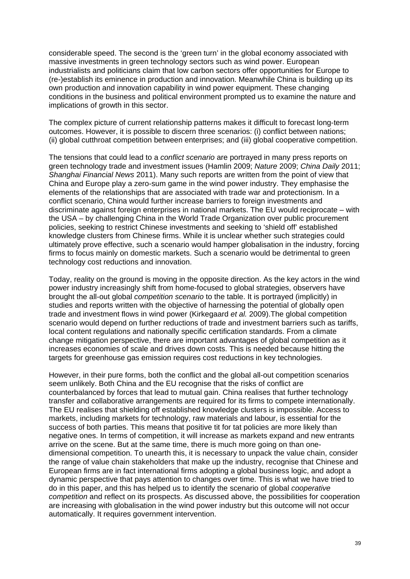considerable speed. The second is the 'green turn' in the global economy associated with massive investments in green technology sectors such as wind power. European industrialists and politicians claim that low carbon sectors offer opportunities for Europe to (re-)establish its eminence in production and innovation. Meanwhile China is building up its own production and innovation capability in wind power equipment. These changing conditions in the business and political environment prompted us to examine the nature and implications of growth in this sector.

The complex picture of current relationship patterns makes it difficult to forecast long-term outcomes. However, it is possible to discern three scenarios: (i) conflict between nations; (ii) global cutthroat competition between enterprises; and (iii) global cooperative competition.

The tensions that could lead to a *conflict scenario* are portrayed in many press reports on green technology trade and investment issues (Hamlin 2009; *Nature* 2009; *China Daily* 2011; *Shanghai Financial News* 2011). Many such reports are written from the point of view that China and Europe play a zero-sum game in the wind power industry. They emphasise the elements of the relationships that are associated with trade war and protectionism. In a conflict scenario, China would further increase barriers to foreign investments and discriminate against foreign enterprises in national markets. The EU would reciprocate – with the USA – by challenging China in the World Trade Organization over public procurement policies, seeking to restrict Chinese investments and seeking to 'shield off' established knowledge clusters from Chinese firms. While it is unclear whether such strategies could ultimately prove effective, such a scenario would hamper globalisation in the industry, forcing firms to focus mainly on domestic markets. Such a scenario would be detrimental to green technology cost reductions and innovation.

Today, reality on the ground is moving in the opposite direction. As the key actors in the wind power industry increasingly shift from home-focused to global strategies, observers have brought the all-out global *competition scenario* to the table. It is portrayed (implicitly) in studies and reports written with the objective of harnessing the potential of globally open trade and investment flows in wind power (Kirkegaard *et al.* 2009).The global competition scenario would depend on further reductions of trade and investment barriers such as tariffs, local content regulations and nationally specific certification standards. From a climate change mitigation perspective, there are important advantages of global competition as it increases economies of scale and drives down costs. This is needed because hitting the targets for greenhouse gas emission requires cost reductions in key technologies.

However, in their pure forms, both the conflict and the global all-out competition scenarios seem unlikely. Both China and the EU recognise that the risks of conflict are counterbalanced by forces that lead to mutual gain. China realises that further technology transfer and collaborative arrangements are required for its firms to compete internationally. The EU realises that shielding off established knowledge clusters is impossible. Access to markets, including markets for technology, raw materials and labour, is essential for the success of both parties. This means that positive tit for tat policies are more likely than negative ones. In terms of competition, it will increase as markets expand and new entrants arrive on the scene. But at the same time, there is much more going on than onedimensional competition. To unearth this, it is necessary to unpack the value chain, consider the range of value chain stakeholders that make up the industry, recognise that Chinese and European firms are in fact international firms adopting a global business logic, and adopt a dynamic perspective that pays attention to changes over time. This is what we have tried to do in this paper, and this has helped us to identify the scenario of global *cooperative competition* and reflect on its prospects. As discussed above, the possibilities for cooperation are increasing with globalisation in the wind power industry but this outcome will not occur automatically. It requires government intervention.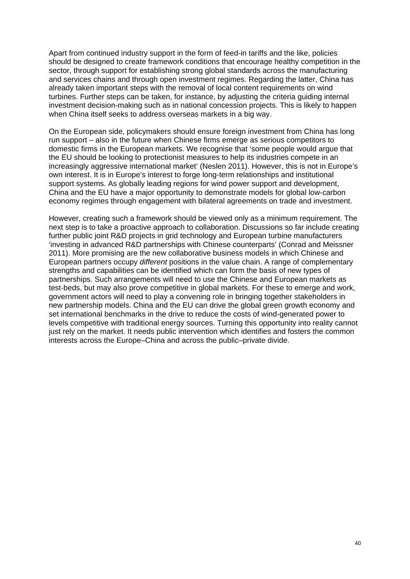Apart from continued industry support in the form of feed-in tariffs and the like, policies should be designed to create framework conditions that encourage healthy competition in the sector, through support for establishing strong global standards across the manufacturing and services chains and through open investment regimes. Regarding the latter, China has already taken important steps with the removal of local content requirements on wind turbines. Further steps can be taken, for instance, by adjusting the criteria guiding internal investment decision-making such as in national concession projects. This is likely to happen when China itself seeks to address overseas markets in a big way.

On the European side, policymakers should ensure foreign investment from China has long run support – also in the future when Chinese firms emerge as serious competitors to domestic firms in the European markets. We recognise that 'some people would argue that the EU should be looking to protectionist measures to help its industries compete in an increasingly aggressive international market' (Neslen 2011). However, this is not in Europe's own interest. It is in Europe's interest to forge long-term relationships and institutional support systems. As globally leading regions for wind power support and development, China and the EU have a major opportunity to demonstrate models for global low-carbon economy regimes through engagement with bilateral agreements on trade and investment.

However, creating such a framework should be viewed only as a minimum requirement. The next step is to take a proactive approach to collaboration. Discussions so far include creating further public joint R&D projects in grid technology and European turbine manufacturers 'investing in advanced R&D partnerships with Chinese counterparts' (Conrad and Meissner 2011). More promising are the new collaborative business models in which Chinese and European partners occupy *different* positions in the value chain. A range of complementary strengths and capabilities can be identified which can form the basis of new types of partnerships. Such arrangements will need to use the Chinese and European markets as test-beds, but may also prove competitive in global markets. For these to emerge and work, government actors will need to play a convening role in bringing together stakeholders in new partnership models. China and the EU can drive the global green growth economy and set international benchmarks in the drive to reduce the costs of wind-generated power to levels competitive with traditional energy sources. Turning this opportunity into reality cannot just rely on the market. It needs public intervention which identifies and fosters the common interests across the Europe–China and across the public–private divide.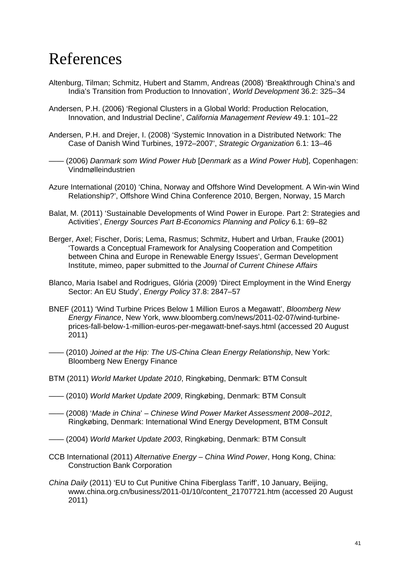## References

- Altenburg, Tilman; Schmitz, Hubert and Stamm, Andreas (2008) 'Breakthrough China's and India's Transition from Production to Innovation', *World Development* 36.2: 325–34
- Andersen, P.H. (2006) 'Regional Clusters in a Global World: Production Relocation, Innovation, and Industrial Decline', *California Management Review* 49.1: 101–22
- Andersen, P.H. and Drejer, I. (2008) 'Systemic Innovation in a Distributed Network: The Case of Danish Wind Turbines, 1972–2007', *Strategic Organization* 6.1: 13–46
- —— (2006) *Danmark som Wind Power Hub* [*Denmark as a Wind Power Hub*], Copenhagen: Vindmølleindustrien
- Azure International (2010) 'China, Norway and Offshore Wind Development. A Win-win Wind Relationship?', Offshore Wind China Conference 2010, Bergen, Norway, 15 March
- Balat, M. (2011) 'Sustainable Developments of Wind Power in Europe. Part 2: Strategies and Activities', *Energy Sources Part B-Economics Planning and Policy* 6.1: 69–82
- Berger, Axel; Fischer, Doris; Lema, Rasmus; Schmitz, Hubert and Urban, Frauke (2001) 'Towards a Conceptual Framework for Analysing Cooperation and Competition between China and Europe in Renewable Energy Issues', German Development Institute, mimeo, paper submitted to the *Journal of Current Chinese Affairs*
- Blanco, Maria Isabel and Rodrigues, Glória (2009) 'Direct Employment in the Wind Energy Sector: An EU Study', *Energy Policy* 37.8: 2847–57
- BNEF (2011) 'Wind Turbine Prices Below 1 Million Euros a Megawatt', *Bloomberg New Energy Finance*, New York, www.bloomberg.com/news/2011-02-07/wind-turbineprices-fall-below-1-million-euros-per-megawatt-bnef-says.html (accessed 20 August 2011)
- —— (2010) *Joined at the Hip: The US-China Clean Energy Relationship*, New York: Bloomberg New Energy Finance
- BTM (2011) *World Market Update 2010*, Ringkøbing, Denmark: BTM Consult
- —— (2010) *World Market Update 2009*, Ringkøbing, Denmark: BTM Consult
- —— (2008) '*Made in China*' *Chinese Wind Power Market Assessment 2008–2012*, Ringkøbing, Denmark: International Wind Energy Development, BTM Consult
- —— (2004) *World Market Update 2003*, Ringkøbing, Denmark: BTM Consult
- CCB International (2011) *Alternative Energy China Wind Power*, Hong Kong, China: Construction Bank Corporation
- *China Daily* (2011) 'EU to Cut Punitive China Fiberglass Tariff', 10 January, Beijing, www.china.org.cn/business/2011-01/10/content\_21707721.htm (accessed 20 August 2011)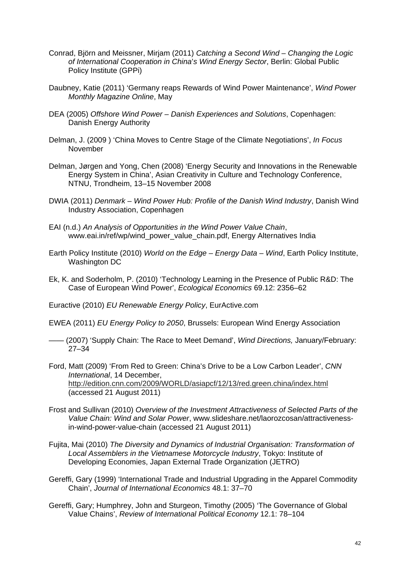- Conrad, Björn and Meissner, Mirjam (2011) *Catching a Second Wind Changing the Logic of International Cooperation in China*'*s Wind Energy Sector*, Berlin: Global Public Policy Institute (GPPi)
- Daubney, Katie (2011) 'Germany reaps Rewards of Wind Power Maintenance', *Wind Power Monthly Magazine Online*, May
- DEA (2005) *Offshore Wind Power Danish Experiences and Solutions*, Copenhagen: Danish Energy Authority
- Delman, J. (2009 ) 'China Moves to Centre Stage of the Climate Negotiations', *In Focus*  November
- Delman, Jørgen and Yong, Chen (2008) 'Energy Security and Innovations in the Renewable Energy System in China', Asian Creativity in Culture and Technology Conference, NTNU, Trondheim, 13–15 November 2008
- DWIA (2011) *Denmark Wind Power Hub: Profile of the Danish Wind Industry*, Danish Wind Industry Association, Copenhagen
- EAI (n.d.) *An Analysis of Opportunities in the Wind Power Value Chain*, www.eai.in/ref/wp/wind power value chain.pdf, Energy Alternatives India
- Earth Policy Institute (2010) *World on the Edge Energy Data Wind*, Earth Policy Institute, Washington DC
- Ek, K. and Soderholm, P. (2010) 'Technology Learning in the Presence of Public R&D: The Case of European Wind Power', *Ecological Economics* 69.12: 2356–62

Euractive (2010) *EU Renewable Energy Policy*, EurActive.com

EWEA (2011) *EU Energy Policy to 2050*, Brussels: European Wind Energy Association

- —— (2007) 'Supply Chain: The Race to Meet Demand', *Wind Directions,* January/February: 27–34
- Ford, Matt (2009) 'From Red to Green: China's Drive to be a Low Carbon Leader', *CNN International*, 14 December, http://edition.cnn.com/2009/WORLD/asiapcf/12/13/red.green.china/index.html (accessed 21 August 2011)
- Frost and Sullivan (2010) *Overview of the Investment Attractiveness of Selected Parts of the Value Chain: Wind and Solar Power*, www.slideshare.net/laorozcosan/attractivenessin-wind-power-value-chain (accessed 21 August 2011)
- Fujita, Mai (2010) *The Diversity and Dynamics of Industrial Organisation: Transformation of Local Assemblers in the Vietnamese Motorcycle Industry*, Tokyo: Institute of Developing Economies, Japan External Trade Organization (JETRO)
- Gereffi, Gary (1999) 'International Trade and Industrial Upgrading in the Apparel Commodity Chain', *Journal of International Economics* 48.1: 37–70
- Gereffi, Gary; Humphrey, John and Sturgeon, Timothy (2005) 'The Governance of Global Value Chains', *Review of International Political Economy* 12.1: 78–104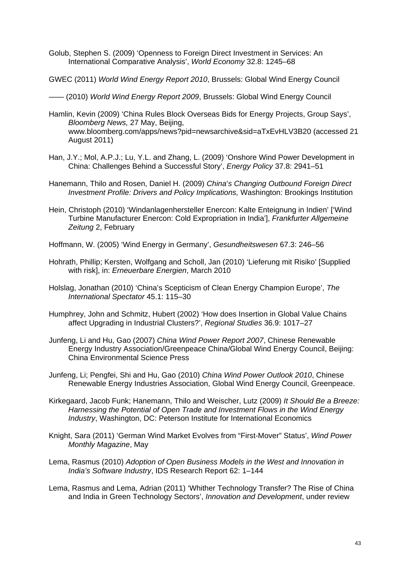- Golub, Stephen S. (2009) 'Openness to Foreign Direct Investment in Services: An International Comparative Analysis', *World Economy* 32.8: 1245–68
- GWEC (2011) *World Wind Energy Report 2010*, Brussels: Global Wind Energy Council
- —— (2010) *World Wind Energy Report 2009*, Brussels: Global Wind Energy Council
- Hamlin, Kevin (2009) 'China Rules Block Overseas Bids for Energy Projects, Group Says', *Bloomberg News,* 27 May, Beijing, www.bloomberg.com/apps/news?pid=newsarchive&sid=aTxEvHLV3B20 (accessed 21 August 2011)
- Han, J.Y.; Mol, A.P.J.; Lu, Y.L. and Zhang, L. (2009) 'Onshore Wind Power Development in China: Challenges Behind a Successful Story', *Energy Policy* 37.8: 2941–51
- Hanemann, Thilo and Rosen, Daniel H. (2009) *China*'*s Changing Outbound Foreign Direct Investment Profile: Drivers and Policy Implications,* Washington: Brookings Institution
- Hein, Christoph (2010) 'Windanlagenhersteller Enercon: Kalte Enteignung in Indien' ['Wind Turbine Manufacturer Enercon: Cold Expropriation in India'], *Frankfurter Allgemeine Zeitung* 2, February
- Hoffmann, W. (2005) 'Wind Energy in Germany', *Gesundheitswesen* 67.3: 246–56
- Hohrath, Phillip; Kersten, Wolfgang and Scholl, Jan (2010) 'Lieferung mit Risiko' [Supplied with risk], in: *Erneuerbare Energien*, March 2010
- Holslag, Jonathan (2010) 'China's Scepticism of Clean Energy Champion Europe', *The International Spectator* 45.1: 115–30
- Humphrey, John and Schmitz, Hubert (2002) 'How does Insertion in Global Value Chains affect Upgrading in Industrial Clusters?', *Regional Studies* 36.9: 1017–27
- Junfeng, Li and Hu, Gao (2007) *China Wind Power Report 2007*, Chinese Renewable Energy Industry Association/Greenpeace China/Global Wind Energy Council, Beijing: China Environmental Science Press
- Junfeng, Li; Pengfei, Shi and Hu, Gao (2010) *China Wind Power Outlook 2010*, Chinese Renewable Energy Industries Association, Global Wind Energy Council, Greenpeace.
- Kirkegaard, Jacob Funk; Hanemann, Thilo and Weischer, Lutz (2009) *It Should Be a Breeze: Harnessing the Potential of Open Trade and Investment Flows in the Wind Energy Industry*, Washington, DC: Peterson Institute for International Economics
- Knight, Sara (2011) 'German Wind Market Evolves from "First-Mover" Status', *Wind Power Monthly Magazine*, May
- Lema, Rasmus (2010) *Adoption of Open Business Models in the West and Innovation in India's Software Industry*, IDS Research Report 62: 1–144
- Lema, Rasmus and Lema, Adrian (2011) 'Whither Technology Transfer? The Rise of China and India in Green Technology Sectors', *Innovation and Development*, under review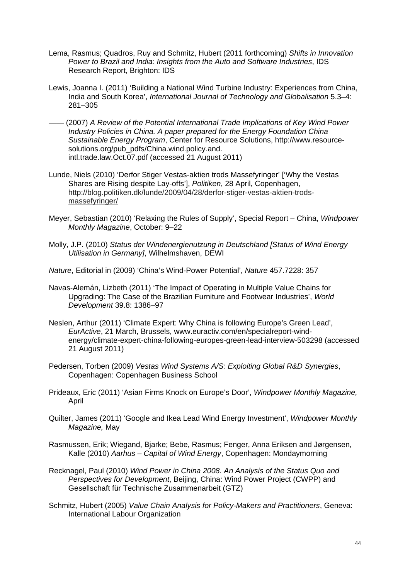- Lema, Rasmus; Quadros, Ruy and Schmitz, Hubert (2011 forthcoming) *Shifts in Innovation Power to Brazil and India: Insights from the Auto and Software Industries*, IDS Research Report, Brighton: IDS
- Lewis, Joanna I. (2011) 'Building a National Wind Turbine Industry: Experiences from China, India and South Korea', *International Journal of Technology and Globalisation* 5.3–4: 281–305
- —— (2007) *A Review of the Potential International Trade Implications of Key Wind Power Industry Policies in China. A paper prepared for the Energy Foundation China Sustainable Energy Program*, Center for Resource Solutions, http://www.resourcesolutions.org/pub\_pdfs/China.wind.policy.and. intl.trade.law.Oct.07.pdf (accessed 21 August 2011)
- Lunde, Niels (2010) 'Derfor Stiger Vestas-aktien trods Massefyringer' ['Why the Vestas Shares are Rising despite Lay-offs'], *Politiken*, 28 April, Copenhagen, http://blog.politiken.dk/lunde/2009/04/28/derfor-stiger-vestas-aktien-trodsmassefyringer/
- Meyer, Sebastian (2010) 'Relaxing the Rules of Supply', Special Report China, *Windpower Monthly Magazine*, October: 9–22
- Molly, J.P. (2010) *Status der Windenergienutzung in Deutschland [Status of Wind Energy Utilisation in Germany]*, Wilhelmshaven, DEWI
- *Nature*, Editorial in (2009) 'China's Wind-Power Potential', *Nature* 457.7228: 357
- Navas-Alemán, Lizbeth (2011) 'The Impact of Operating in Multiple Value Chains for Upgrading: The Case of the Brazilian Furniture and Footwear Industries', *World Development* 39.8: 1386–97
- Neslen, Arthur (2011) 'Climate Expert: Why China is following Europe's Green Lead', *EurActive*, 21 March, Brussels, www.euractiv.com/en/specialreport-windenergy/climate-expert-china-following-europes-green-lead-interview-503298 (accessed 21 August 2011)
- Pedersen, Torben (2009) *Vestas Wind Systems A/S: Exploiting Global R&D Synergies*, Copenhagen: Copenhagen Business School
- Prideaux, Eric (2011) 'Asian Firms Knock on Europe's Door', *Windpower Monthly Magazine,*  April
- Quilter, James (2011) 'Google and Ikea Lead Wind Energy Investment', *Windpower Monthly Magazine,* May
- Rasmussen, Erik; Wiegand, Bjarke; Bebe, Rasmus; Fenger, Anna Eriksen and Jørgensen, Kalle (2010) *Aarhus – Capital of Wind Energy*, Copenhagen: Mondaymorning
- Recknagel, Paul (2010) *Wind Power in China 2008. An Analysis of the Status Quo and Perspectives for Development*, Beijing, China: Wind Power Project (CWPP) and Gesellschaft für Technische Zusammenarbeit (GTZ)
- Schmitz, Hubert (2005) *Value Chain Analysis for Policy-Makers and Practitioners*, Geneva: International Labour Organization